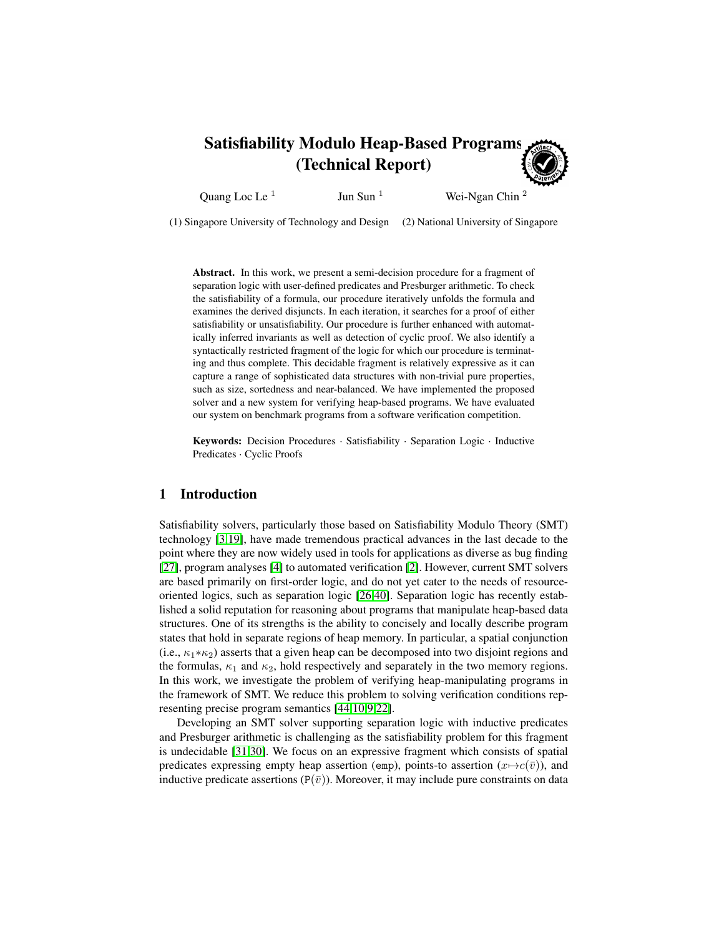# Satisfiability Modulo Heap-Based Programs (Technical Report)



Ouang Loc Le  $^1$ Jun Sun  $1$  Wei-Ngan Chin

(1) Singapore University of Technology and Design (2) National University of Singapore

Abstract. In this work, we present a semi-decision procedure for a fragment of separation logic with user-defined predicates and Presburger arithmetic. To check the satisfiability of a formula, our procedure iteratively unfolds the formula and examines the derived disjuncts. In each iteration, it searches for a proof of either satisfiability or unsatisfiability. Our procedure is further enhanced with automatically inferred invariants as well as detection of cyclic proof. We also identify a syntactically restricted fragment of the logic for which our procedure is terminating and thus complete. This decidable fragment is relatively expressive as it can capture a range of sophisticated data structures with non-trivial pure properties, such as size, sortedness and near-balanced. We have implemented the proposed solver and a new system for verifying heap-based programs. We have evaluated our system on benchmark programs from a software verification competition.

Keywords: Decision Procedures · Satisfiability · Separation Logic · Inductive Predicates · Cyclic Proofs

# 1 Introduction

Satisfiability solvers, particularly those based on Satisfiability Modulo Theory (SMT) technology [\[3](#page-18-0)[,19\]](#page-18-1), have made tremendous practical advances in the last decade to the point where they are now widely used in tools for applications as diverse as bug finding [\[27\]](#page-19-0), program analyses [\[4\]](#page-18-2) to automated verification [\[2\]](#page-18-3). However, current SMT solvers are based primarily on first-order logic, and do not yet cater to the needs of resourceoriented logics, such as separation logic [\[26,](#page-19-1)[40\]](#page-19-2). Separation logic has recently established a solid reputation for reasoning about programs that manipulate heap-based data structures. One of its strengths is the ability to concisely and locally describe program states that hold in separate regions of heap memory. In particular, a spatial conjunction (i.e.,  $\kappa_1$ ∗ $\kappa_2$ ) asserts that a given heap can be decomposed into two disjoint regions and the formulas,  $\kappa_1$  and  $\kappa_2$ , hold respectively and separately in the two memory regions. In this work, we investigate the problem of verifying heap-manipulating programs in the framework of SMT. We reduce this problem to solving verification conditions representing precise program semantics [\[44](#page-19-3)[,10,](#page-18-4)[9,](#page-18-5)[22\]](#page-19-4).

Developing an SMT solver supporting separation logic with inductive predicates and Presburger arithmetic is challenging as the satisfiability problem for this fragment is undecidable [\[31,](#page-19-5)[30\]](#page-19-6). We focus on an expressive fragment which consists of spatial predicates expressing empty heap assertion (emp), points-to assertion  $(x \mapsto c(\bar{v}))$ , and inductive predicate assertions ( $P(\bar{v})$ ). Moreover, it may include pure constraints on data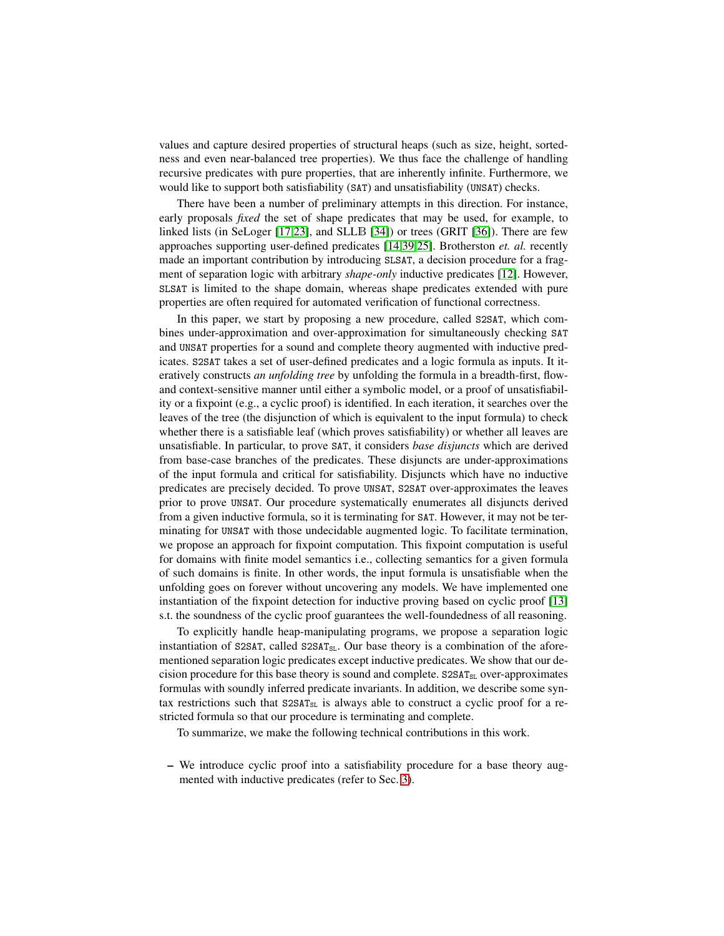values and capture desired properties of structural heaps (such as size, height, sortedness and even near-balanced tree properties). We thus face the challenge of handling recursive predicates with pure properties, that are inherently infinite. Furthermore, we would like to support both satisfiability (SAT) and unsatisfiability (UNSAT) checks.

There have been a number of preliminary attempts in this direction. For instance, early proposals *fixed* the set of shape predicates that may be used, for example, to linked lists (in SeLoger [\[17](#page-18-6)[,23\]](#page-19-7), and SLLB [\[34\]](#page-19-8)) or trees (GRIT [\[36\]](#page-19-9)). There are few approaches supporting user-defined predicates [\[14](#page-18-7)[,39](#page-19-10)[,25\]](#page-19-11). Brotherston *et. al.* recently made an important contribution by introducing SLSAT, a decision procedure for a fragment of separation logic with arbitrary *shape-only* inductive predicates [\[12\]](#page-18-8). However, SLSAT is limited to the shape domain, whereas shape predicates extended with pure properties are often required for automated verification of functional correctness.

In this paper, we start by proposing a new procedure, called S2SAT, which combines under-approximation and over-approximation for simultaneously checking SAT and UNSAT properties for a sound and complete theory augmented with inductive predicates. S2SAT takes a set of user-defined predicates and a logic formula as inputs. It iteratively constructs *an unfolding tree* by unfolding the formula in a breadth-first, flowand context-sensitive manner until either a symbolic model, or a proof of unsatisfiability or a fixpoint (e.g., a cyclic proof) is identified. In each iteration, it searches over the leaves of the tree (the disjunction of which is equivalent to the input formula) to check whether there is a satisfiable leaf (which proves satisfiability) or whether all leaves are unsatisfiable. In particular, to prove SAT, it considers *base disjuncts* which are derived from base-case branches of the predicates. These disjuncts are under-approximations of the input formula and critical for satisfiability. Disjuncts which have no inductive predicates are precisely decided. To prove UNSAT, S2SAT over-approximates the leaves prior to prove UNSAT. Our procedure systematically enumerates all disjuncts derived from a given inductive formula, so it is terminating for SAT. However, it may not be terminating for UNSAT with those undecidable augmented logic. To facilitate termination, we propose an approach for fixpoint computation. This fixpoint computation is useful for domains with finite model semantics i.e., collecting semantics for a given formula of such domains is finite. In other words, the input formula is unsatisfiable when the unfolding goes on forever without uncovering any models. We have implemented one instantiation of the fixpoint detection for inductive proving based on cyclic proof [\[13\]](#page-18-9) s.t. the soundness of the cyclic proof guarantees the well-foundedness of all reasoning.

To explicitly handle heap-manipulating programs, we propose a separation logic instantiation of  $S2SAT$ , called  $S2SAT<sub>SL</sub>$ . Our base theory is a combination of the aforementioned separation logic predicates except inductive predicates. We show that our decision procedure for this base theory is sound and complete.  $S2SAT_{SL}$  over-approximates formulas with soundly inferred predicate invariants. In addition, we describe some syntax restrictions such that  $S2SAT_{SL}$  is always able to construct a cyclic proof for a restricted formula so that our procedure is terminating and complete.

To summarize, we make the following technical contributions in this work.

– We introduce cyclic proof into a satisfiability procedure for a base theory augmented with inductive predicates (refer to Sec. [3\)](#page-4-0).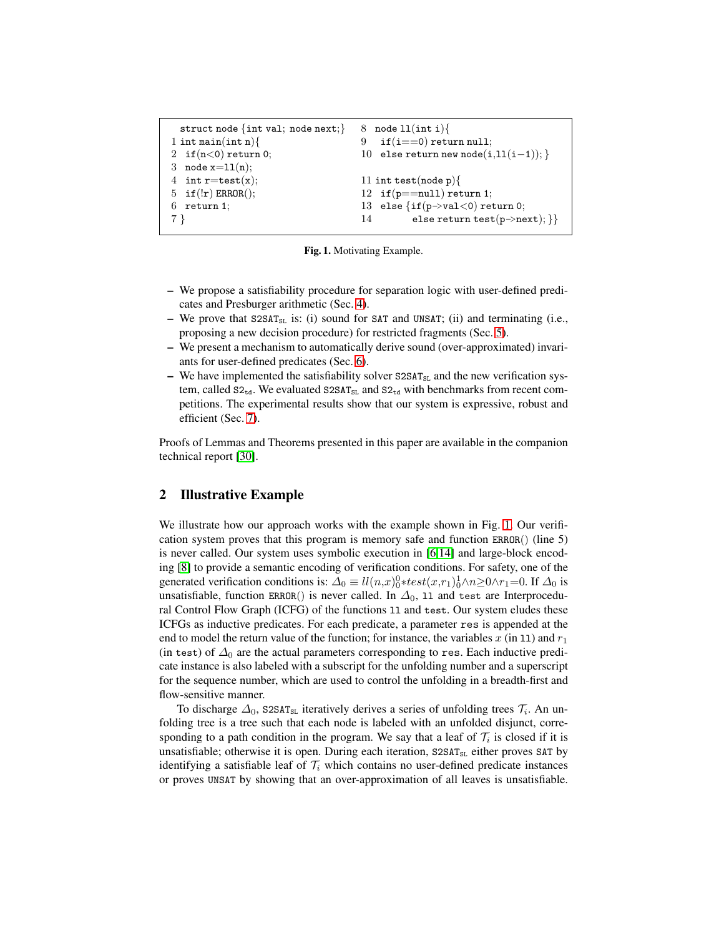```
struct node {int val; node next;}
1 int main(int n){
2 if(n<0) return 0;
3 node x=11(n);
4 int r = test(x);5 if(!r) ERROR();
6 return 1;
7 }
                                       8 node ll(int i){
                                       9 if(i==0) return null;
                                       10 else return new node(i,ll(i−1)); }
                                       11 int test(node p){
                                       12 if(p == null) return 1;
                                       13 else \{if(p\rightarrow val<0) return 0;
                                       14 else return test(p \rightarrownext);}
```
<span id="page-2-0"></span>Fig. 1. Motivating Example.

- We propose a satisfiability procedure for separation logic with user-defined predicates and Presburger arithmetic (Sec. [4\)](#page-6-0).
- We prove that  $S2SAT_{SL}$  is: (i) sound for SAT and UNSAT; (ii) and terminating (i.e., proposing a new decision procedure) for restricted fragments (Sec. [5\)](#page-10-0).
- We present a mechanism to automatically derive sound (over-approximated) invariants for user-defined predicates (Sec. [6\)](#page-12-0).
- We have implemented the satisfiability solver  $S2SAT_{SL}$  and the new verification system, called  $S2_{\text{td}}$ . We evaluated  $S2SAT_{SL}$  and  $S2_{\text{td}}$  with benchmarks from recent competitions. The experimental results show that our system is expressive, robust and efficient (Sec. [7\)](#page-14-0).

Proofs of Lemmas and Theorems presented in this paper are available in the companion technical report [\[30\]](#page-19-6).

## 2 Illustrative Example

We illustrate how our approach works with the example shown in Fig. [1.](#page-2-0) Our verification system proves that this program is memory safe and function ERROR() (line 5) is never called. Our system uses symbolic execution in [\[6,](#page-18-10)[14\]](#page-18-7) and large-block encoding [\[8\]](#page-18-11) to provide a semantic encoding of verification conditions. For safety, one of the generated verification conditions is:  $\Delta_0 \equiv ll(n,x)_0^0 * test(x,r_1)_0^1 \wedge n \ge 0 \wedge r_1 = 0$ . If  $\Delta_0$  is unsatisfiable, function ERROR() is never called. In  $\Delta_0$ , 11 and test are Interprocedural Control Flow Graph (ICFG) of the functions ll and test. Our system eludes these ICFGs as inductive predicates. For each predicate, a parameter res is appended at the end to model the return value of the function; for instance, the variables  $x$  (in 11) and  $r_1$ (in test) of  $\Delta_0$  are the actual parameters corresponding to res. Each inductive predicate instance is also labeled with a subscript for the unfolding number and a superscript for the sequence number, which are used to control the unfolding in a breadth-first and flow-sensitive manner.

To discharge  $\Delta_0$ , S2SAT<sub>SL</sub> iteratively derives a series of unfolding trees  $\mathcal{T}_i$ . An unfolding tree is a tree such that each node is labeled with an unfolded disjunct, corresponding to a path condition in the program. We say that a leaf of  $\mathcal{T}_i$  is closed if it is unsatisfiable; otherwise it is open. During each iteration, S2SAT<sub>SL</sub> either proves SAT by identifying a satisfiable leaf of  $\mathcal{T}_i$  which contains no user-defined predicate instances or proves UNSAT by showing that an over-approximation of all leaves is unsatisfiable.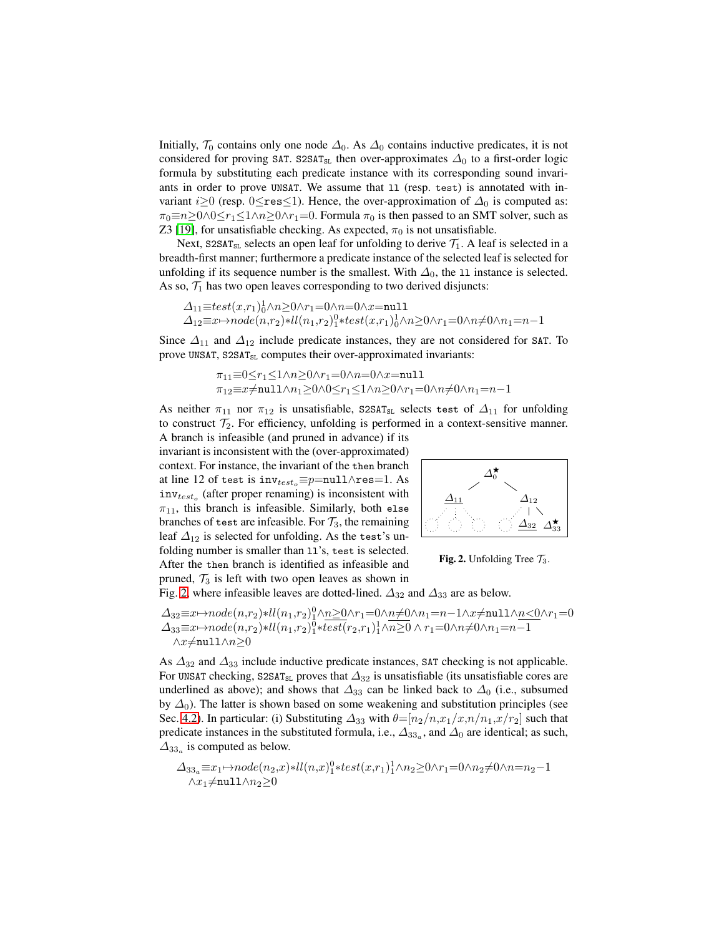Initially,  $\mathcal{T}_0$  contains only one node  $\Delta_0$ . As  $\Delta_0$  contains inductive predicates, it is not considered for proving SAT. S2SAT<sub>SL</sub> then over-approximates  $\Delta_0$  to a first-order logic formula by substituting each predicate instance with its corresponding sound invariants in order to prove UNSAT. We assume that ll (resp. test) is annotated with invariant *i* $\geq$ 0 (resp. 0≤res≤1). Hence, the over-approximation of  $\Delta_0$  is computed as:  $\pi_0 \equiv n \geq 0 \land 0 \leq r_1 \leq 1 \land n \geq 0 \land r_1 = 0$ . Formula  $\pi_0$  is then passed to an SMT solver, such as Z3 [\[19\]](#page-18-1), for unsatisfiable checking. As expected,  $\pi_0$  is not unsatisfiable.

Next, S2SAT<sub>SL</sub> selects an open leaf for unfolding to derive  $\mathcal{T}_1$ . A leaf is selected in a breadth-first manner; furthermore a predicate instance of the selected leaf is selected for unfolding if its sequence number is the smallest. With  $\Delta_0$ , the 11 instance is selected. As so,  $\mathcal{T}_1$  has two open leaves corresponding to two derived disjuncts:

$$
\substack{\Delta_{11}\equiv test(x,r_1)^1_0\wedge n\ge 0 \wedge r_1=0 \wedge n=0 \wedge x=\text{null}}\\\Delta_{12}\equiv x\mapsto node(n,r_2)*ll(n_1,r_2)^0_* test(x,r_1)^1_0\wedge n\ge 0 \wedge r_1=0 \wedge n\ne 0 \wedge n_1=n-1
$$

Since  $\Delta_{11}$  and  $\Delta_{12}$  include predicate instances, they are not considered for SAT. To prove UNSAT,  $S2SAT_{SL}$  computes their over-approximated invariants:

$$
\pi_{11}=0 \le r_1 \le 1 \land n \ge 0 \land r_1=0 \land n=0 \land x=nu11
$$
  
\n
$$
\pi_{12}=x \ne \text{null} \land n_1 \ge 0 \land 0 \le r_1 \le 1 \land n \ge 0 \land r_1=0 \land n \ne 0 \land n_1=n-1
$$

As neither  $\pi_{11}$  nor  $\pi_{12}$  is unsatisfiable, S2SAT<sub>SL</sub> selects test of  $\Delta_{11}$  for unfolding to construct  $\mathcal{T}_2$ . For efficiency, unfolding is performed in a context-sensitive manner.

A branch is infeasible (and pruned in advance) if its invariant is inconsistent with the (over-approximated) context. For instance, the invariant of the then branch at line 12 of test is  $inv_{test_o} \equiv p = \texttt{null} \land \texttt{res}=1$ . As  $inv_{test_o}$  (after proper renaming) is inconsistent with  $\pi_{11}$ , this branch is infeasible. Similarly, both else branches of test are infeasible. For  $\mathcal{T}_3$ , the remaining leaf  $\Delta_{12}$  is selected for unfolding. As the test's unfolding number is smaller than 11's, test is selected. After the then branch is identified as infeasible and pruned,  $\mathcal{T}_3$  is left with two open leaves as shown in



Fig. 2. Unfolding Tree  $\mathcal{T}_3$ .

Fig. [2,](#page-2-0) where infeasible leaves are dotted-lined.  $\Delta_{32}$  and  $\Delta_{33}$  are as below.

 $\Delta_{32} \equiv x \mapsto node(n,r_2) * ll(n_1,r_2)^0_1 \wedge \underline{n \geq 0} \wedge r_1 = 0 \wedge \underline{n \neq 0} \wedge n_1 = n-1 \wedge x \neq \texttt{null} \wedge \underline{n < 0} \wedge r_1 = 0$  $\Delta_{33} \equiv x \mapsto node(n,r_2) * ll(n_1,r_2)_1^0 * test(r_2,r_1)_1^1 \wedge n \ge 0 \wedge r_1 = 0 \wedge n \ne 0 \wedge n_1 = n-1$  $\land x \neq \texttt{null} \land n \geq 0$ 

As  $\Delta_{32}$  and  $\Delta_{33}$  include inductive predicate instances, SAT checking is not applicable. For UNSAT checking, S2SAT<sub>SL</sub> proves that  $\Delta_{32}$  is unsatisfiable (its unsatisfiable cores are underlined as above); and shows that  $\Delta_{33}$  can be linked back to  $\Delta_0$  (i.e., subsumed by  $\Delta_0$ ). The latter is shown based on some weakening and substitution principles (see Sec. [4.2\)](#page-9-0). In particular: (i) Substituting  $\Delta_{33}$  with  $\theta = [n_2/n, x_1/x, n/n_1, x/r_2]$  such that predicate instances in the substituted formula, i.e.,  $\Delta_{33_a}$ , and  $\Delta_0$  are identical; as such,  $\Delta_{33_a}$  is computed as below.

$$
\Delta_{33_a}\!\!\equiv\!\!x_1\!\!\mapsto\!\!node(n_2,\!x)\!\ast\!ll\!(n,x)^0_1\!\ast test(x,r_1)^1_1\!\wedge\!n_2\!\ge\!0\!\wedge\!r_1\!=\!\!0\!\wedge\!n_2\!\ne\!0\!\wedge\!n\!=\!n_2\!-\!1\!\!\!\!\lambda\!\cdot\!x_1\!\ne\!{\tt null}\!\wedge\!n_2\!\ge\!0
$$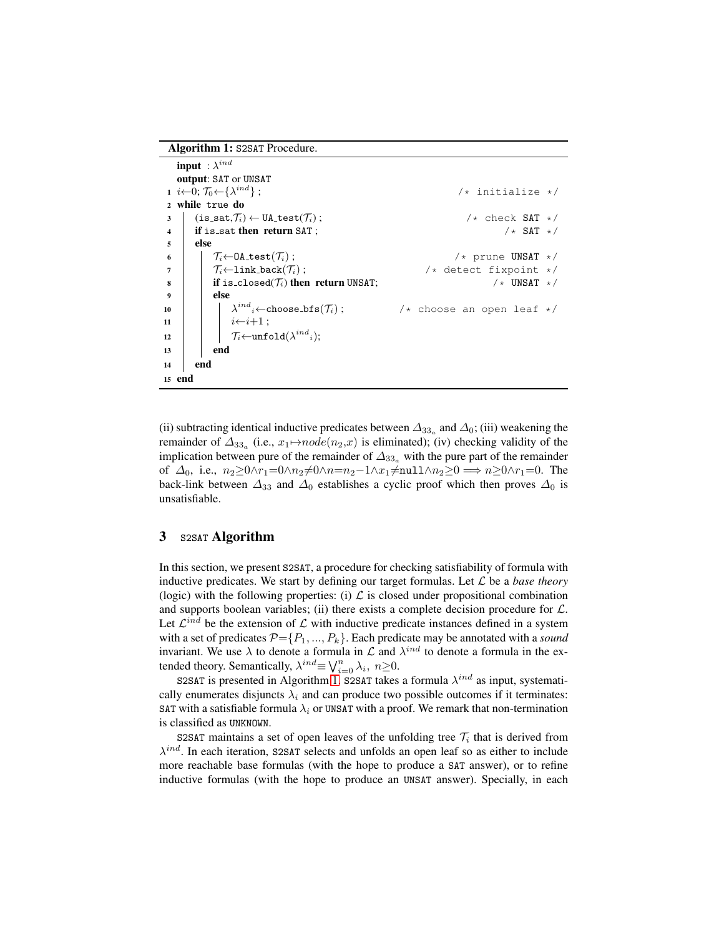#### Algorithm 1: S2SAT Procedure.

|                         | <b>input</b> : $\lambda^{ind}$                                                                                                                                         |                               |  |  |  |  |  |  |  |
|-------------------------|------------------------------------------------------------------------------------------------------------------------------------------------------------------------|-------------------------------|--|--|--|--|--|--|--|
|                         | output: SAT or UNSAT                                                                                                                                                   |                               |  |  |  |  |  |  |  |
|                         | 1 $i \leftarrow 0; \mathcal{T}_0 \leftarrow {\lambda^{ind}};$<br>$/*$ initialize $*/$                                                                                  |                               |  |  |  |  |  |  |  |
|                         | 2 while true do                                                                                                                                                        |                               |  |  |  |  |  |  |  |
| 3                       | $(iss\_sat,\mathcal{T}_i) \leftarrow \texttt{UA\_test}(\mathcal{T}_i)$ ;                                                                                               | $/*$ check SAT $*/$           |  |  |  |  |  |  |  |
| $\overline{\mathbf{4}}$ | if is_sat then return SAT;<br>$/*$ SAT $*/$                                                                                                                            |                               |  |  |  |  |  |  |  |
| $\overline{5}$          | else                                                                                                                                                                   |                               |  |  |  |  |  |  |  |
| 6                       | $\mathcal{T}_i$ $\leftarrow$ OA_test $(\mathcal{T}_i)$ ;                                                                                                               | $/*$ prune UNSAT $*/$         |  |  |  |  |  |  |  |
| $\boldsymbol{7}$        | $\mathcal{T}_i \leftarrow$ link_back $(\mathcal{T}_i)$ ;                                                                                                               | $/*$ detect fixpoint $*/$     |  |  |  |  |  |  |  |
| $\bf8$                  | if is_closed( $\mathcal{T}_i$ ) then return UNSAT;                                                                                                                     | $/*$ UNSAT $*/$               |  |  |  |  |  |  |  |
| $\mathbf{Q}$            | else                                                                                                                                                                   |                               |  |  |  |  |  |  |  |
| 10                      |                                                                                                                                                                        | $/*$ choose an open leaf $*/$ |  |  |  |  |  |  |  |
| 11                      |                                                                                                                                                                        |                               |  |  |  |  |  |  |  |
| $12 \,$                 | $\lambda^{ind}$ <sub>i</sub> $\leftarrow$ choose_bfs $(\mathcal{T}_i)$ ;<br>$i \leftarrow i+1$ ;<br>$\mathcal{T}_i \leftarrow$ unfold $(\lambda^{ind}$ <sub>i</sub> ); |                               |  |  |  |  |  |  |  |
| 13                      | end                                                                                                                                                                    |                               |  |  |  |  |  |  |  |
| 14                      | end                                                                                                                                                                    |                               |  |  |  |  |  |  |  |
| 15 end                  |                                                                                                                                                                        |                               |  |  |  |  |  |  |  |

<span id="page-4-1"></span>(ii) subtracting identical inductive predicates between  $\Delta_{33_a}$  and  $\Delta_0$ ; (iii) weakening the remainder of  $\Delta_{33_a}$  (i.e.,  $x_1 \mapsto node(n_2, x)$  is eliminated); (iv) checking validity of the implication between pure of the remainder of  $\Delta_{33a}$  with the pure part of the remainder of  $\Delta_0$ , i.e.,  $n_2 \geq 0 \wedge r_1 = 0 \wedge n_2 \neq 0 \wedge n = n_2 - 1 \wedge x_1 \neq \text{null} \wedge n_2 \geq 0 \implies n \geq 0 \wedge r_1 = 0$ . The back-link between  $\Delta_{33}$  and  $\Delta_0$  establishes a cyclic proof which then proves  $\Delta_0$  is unsatisfiable.

## <span id="page-4-0"></span>3 S2SAT Algorithm

In this section, we present S2SAT, a procedure for checking satisfiability of formula with inductive predicates. We start by defining our target formulas. Let  $\mathcal L$  be a *base theory* (logic) with the following properties: (i)  $\mathcal L$  is closed under propositional combination and supports boolean variables; (ii) there exists a complete decision procedure for  $\mathcal{L}$ . Let  $\mathcal{L}^{ind}$  be the extension of  $\mathcal{L}$  with inductive predicate instances defined in a system with a set of predicates  $P = \{P_1, ..., P_k\}$ . Each predicate may be annotated with a *sound* invariant. We use  $\lambda$  to denote a formula in  $\mathcal L$  and  $\lambda^{ind}$  to denote a formula in the extended theory. Semantically,  $\lambda^{ind} \equiv \bigvee_{i=0}^{n} \lambda_i$ ,  $n \ge 0$ .

S2SAT is presented in Algorithm [1.](#page-4-1) S2SAT takes a formula  $\lambda^{ind}$  as input, systematically enumerates disjuncts  $\lambda_i$  and can produce two possible outcomes if it terminates: SAT with a satisfiable formula  $\lambda_i$  or UNSAT with a proof. We remark that non-termination is classified as UNKNOWN.

S2SAT maintains a set of open leaves of the unfolding tree  $\mathcal{T}_i$  that is derived from  $\lambda^{ind}$ . In each iteration, S2SAT selects and unfolds an open leaf so as either to include more reachable base formulas (with the hope to produce a SAT answer), or to refine inductive formulas (with the hope to produce an UNSAT answer). Specially, in each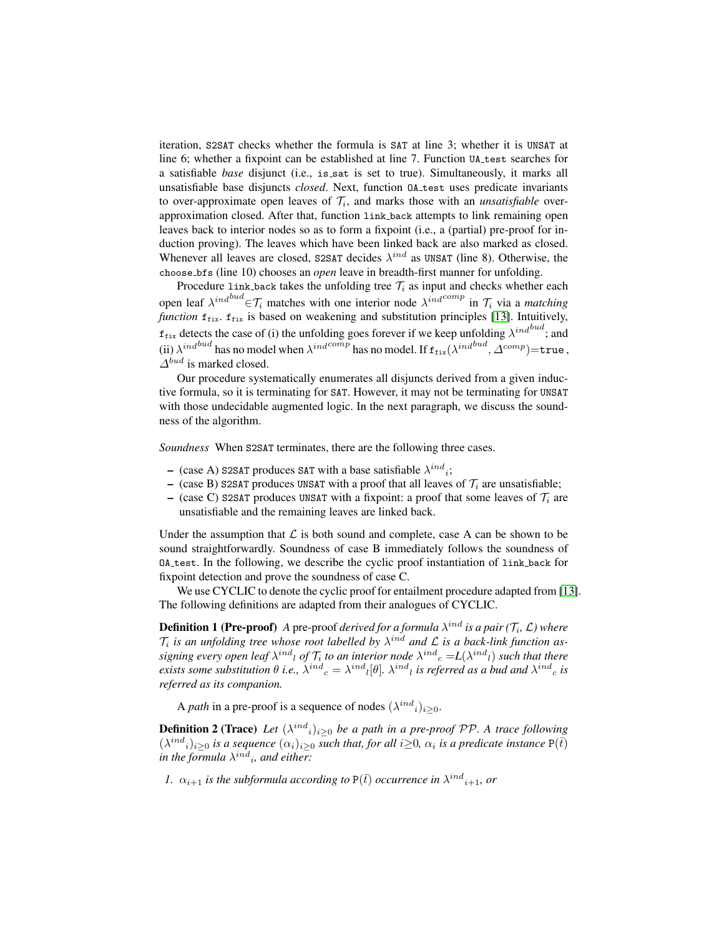iteration, S2SAT checks whether the formula is SAT at line 3; whether it is UNSAT at line 6; whether a fixpoint can be established at line 7. Function UA test searches for a satisfiable *base* disjunct (i.e., is sat is set to true). Simultaneously, it marks all unsatisfiable base disjuncts *closed*. Next, function OA test uses predicate invariants to over-approximate open leaves of  $\mathcal{T}_i$ , and marks those with an *unsatisfiable* overapproximation closed. After that, function link back attempts to link remaining open leaves back to interior nodes so as to form a fixpoint (i.e., a (partial) pre-proof for induction proving). The leaves which have been linked back are also marked as closed. Whenever all leaves are closed, S2SAT decides  $\lambda^{ind}$  as UNSAT (line 8). Otherwise, the choose bfs (line 10) chooses an *open* leave in breadth-first manner for unfolding.

Procedure link back takes the unfolding tree  $\mathcal{T}_i$  as input and checks whether each open leaf  $\lambda^{indbud} \in \mathcal{T}_i$  matches with one interior node  $\lambda^{indcomp}$  in  $\mathcal{T}_i$  via a *matching function*  $f_{fix}$ .  $f_{fix}$  is based on weakening and substitution principles [\[13\]](#page-18-9). Intuitively,  $f_{fix}$  detects the case of (i) the unfolding goes forever if we keep unfolding  $\lambda^{indbud}$ ; and (ii)  $\lambda^{indbud}$  has no model when  $\lambda^{indcomp}$  has no model. If  $\mathbf{f_{fix}}(\lambda^{indbud}, \Delta^{comp})$ =true ,  $\Delta^{bud}$  is marked closed.

Our procedure systematically enumerates all disjuncts derived from a given inductive formula, so it is terminating for SAT. However, it may not be terminating for UNSAT with those undecidable augmented logic. In the next paragraph, we discuss the soundness of the algorithm.

*Soundness* When S2SAT terminates, there are the following three cases.

- (case A) S2SAT produces SAT with a base satisfiable  $\lambda^{ind}$ ;
- (case B) S2SAT produces UNSAT with a proof that all leaves of  $\mathcal{T}_i$  are unsatisfiable;
- (case C) S2SAT produces UNSAT with a fixpoint: a proof that some leaves of  $\mathcal{T}_i$  are unsatisfiable and the remaining leaves are linked back.

Under the assumption that  $\mathcal L$  is both sound and complete, case A can be shown to be sound straightforwardly. Soundness of case B immediately follows the soundness of OA test. In the following, we describe the cyclic proof instantiation of link back for fixpoint detection and prove the soundness of case C.

We use CYCLIC to denote the cyclic proof for entailment procedure adapted from [\[13\]](#page-18-9). The following definitions are adapted from their analogues of CYCLIC.

**Definition 1 (Pre-proof)** A pre-proof *derived for a formula*  $\lambda^{ind}$  *is a pair* ( $\mathcal{T}_i$ ,  $\mathcal{L}$ ) where  $\mathcal{T}_i$  is an unfolding tree whose root labelled by  $\lambda^{ind}$  and  $\mathcal{L}$  is a back-link function as*signing every open leaf*  $\lambda^{ind}$  *of*  $\mathcal{T}_i$  *to an interior node*  $\lambda^{ind}$ <sub>*c*</sub> =  $L(\lambda^{ind}$ <sub>*l*</sub>) *such that there exists some substitution*  $\theta$  *i.e.,*  $\lambda^{ind}{}_{c} = \lambda^{ind}{}_{l}[\theta]$ .  $\lambda^{ind}{}_{l}$  *is referred as a bud and*  $\lambda^{ind}{}_{c}$  *is referred as its companion.*

A *path* in a pre-proof is a sequence of nodes  $(\lambda^{ind}{}_{i})_{i\geq0}$ .

**Definition 2 (Trace)** *Let*  $(\lambda^{ind}i)_{i\geq 0}$  *be a path in a pre-proof* PP. A trace following  $(\lambda^{ind}i)_{i\geq 0}$  *is a sequence*  $(\alpha_i)_{i\geq 0}$  *such that, for all*  $i\geq 0$ *,*  $\alpha_i$  *is a predicate instance*  $P(\bar{t})$ in the formula  $\lambda^{ind}$ <sub>i</sub>, and either:

1.  $\alpha_{i+1}$  *is the subformula according to*  $P(\bar{t})$  *occurrence in*  $\lambda^{ind}_{i+1}$ *, or*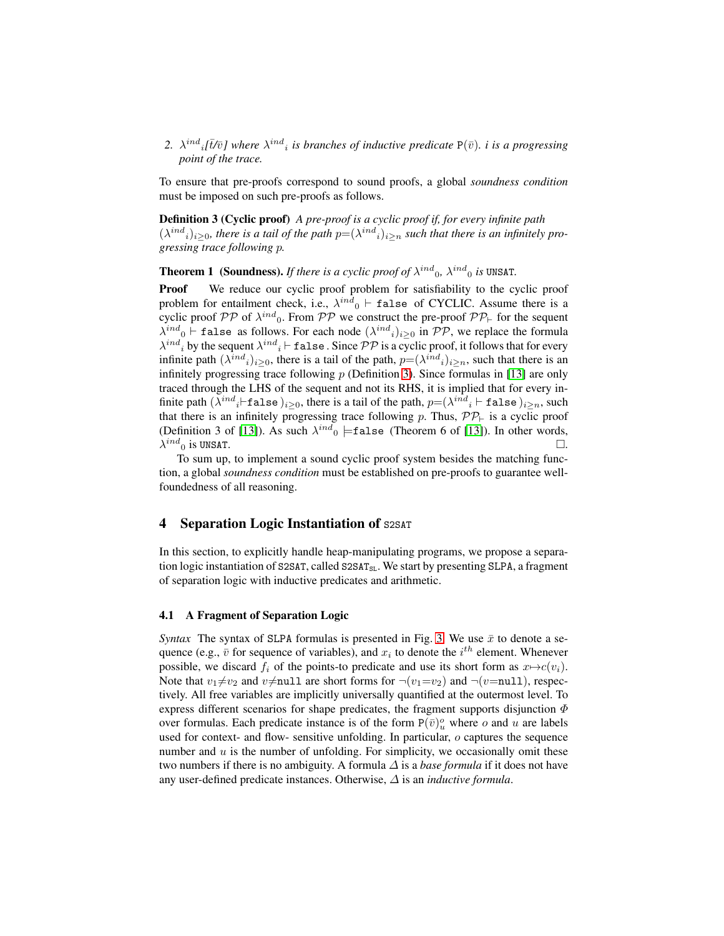2.  $\lambda^{ind}$ <sub>*i*</sub>[ $\bar{t}/\bar{v}$ ] where  $\lambda^{ind}$ <sub>*i*</sub> is branches of inductive predicate P( $\bar{v}$ ). *i* is a progressing *point of the trace.*

<span id="page-6-1"></span>To ensure that pre-proofs correspond to sound proofs, a global *soundness condition* must be imposed on such pre-proofs as follows.

Definition 3 (Cyclic proof) *A pre-proof is a cyclic proof if, for every infinite path*  $(\lambda^{ind}{}_{i})_{i\geq 0}$ , there is a tail of the path  $p=(\lambda^{ind}{}_{i})_{i\geq n}$  such that there is an infinitely pro*gressing trace following* p*.*

**Theorem 1** (Soundness). If there is a cyclic proof of  $\lambda^{ind}$ <sub>0</sub>,  $\lambda^{ind}$ <sub>0</sub> is UNSAT.

**Proof** We reduce our cyclic proof problem for satisfiability to the cyclic proof problem for entailment check, i.e.,  $\lambda^{ind}$ <sub>0</sub>  $\vdash$  false of CYCLIC. Assume there is a cyclic proof PP of  $\lambda^{ind}$ <sub>0</sub>. From PP we construct the pre-proof PP<sub>⊢</sub> for the sequent  $\lambda^{ind}$ <sub>0</sub>  $\vdash$  false as follows. For each node  $(\lambda^{ind}$ <sub>i</sub>)<sub>i≥0</sub> in  $\mathcal{PP}$ , we replace the formula  $\lambda^{ind}$  by the sequent  $\lambda^{ind}$   $\vdash$  false. Since PP is a cyclic proof, it follows that for every infinite path  $(\lambda^{ind}{}_{i})_{i\geq 0}$ , there is a tail of the path,  $p=(\lambda^{ind}{}_{i})_{i\geq n}$ , such that there is an infinitely progressing trace following  $p$  (Definition [3\)](#page-6-1). Since formulas in [\[13\]](#page-18-9) are only traced through the LHS of the sequent and not its RHS, it is implied that for every infinite path  $(\lambda^{ind_i} \vdash false)_{i \geq 0}$ , there is a tail of the path,  $p = (\lambda^{ind_i} \vdash false)_{i \geq n}$ , such that there is an infinitely progressing trace following p. Thus,  $\mathcal{PP}_\vdash$  is a cyclic proof (Definition 3 of [\[13\]](#page-18-9)). As such  $\lambda^{ind}$ <sub>0</sub>  $\models$  false (Theorem 6 of [13]). In other words,  $\lambda^{ind}$ <sub>0</sub> is UNSAT.  $\Box$ 

To sum up, to implement a sound cyclic proof system besides the matching function, a global *soundness condition* must be established on pre-proofs to guarantee wellfoundedness of all reasoning.

## <span id="page-6-0"></span>4 Separation Logic Instantiation of S2SAT

In this section, to explicitly handle heap-manipulating programs, we propose a separation logic instantiation of S2SAT, called S2SAT<sub>SL</sub>. We start by presenting SLPA, a fragment of separation logic with inductive predicates and arithmetic.

#### 4.1 A Fragment of Separation Logic

*Syntax* The syntax of SLPA formulas is presented in Fig. [3.](#page-7-0) We use  $\bar{x}$  to denote a sequence (e.g.,  $\bar{v}$  for sequence of variables), and  $x_i$  to denote the  $i^{th}$  element. Whenever possible, we discard  $f_i$  of the points-to predicate and use its short form as  $x \mapsto c(v_i)$ . Note that  $v_1 \neq v_2$  and  $v \neq \text{null}$  are short forms for  $\neg(v_1=v_2)$  and  $\neg(v=\text{null})$ , respectively. All free variables are implicitly universally quantified at the outermost level. To express different scenarios for shape predicates, the fragment supports disjunction  $\Phi$ over formulas. Each predicate instance is of the form  $P(\bar{v})_u^o$  where o and u are labels used for context- and flow- sensitive unfolding. In particular,  $o$  captures the sequence number and  $u$  is the number of unfolding. For simplicity, we occasionally omit these two numbers if there is no ambiguity. A formula ∆ is a *base formula* if it does not have any user-defined predicate instances. Otherwise, ∆ is an *inductive formula*.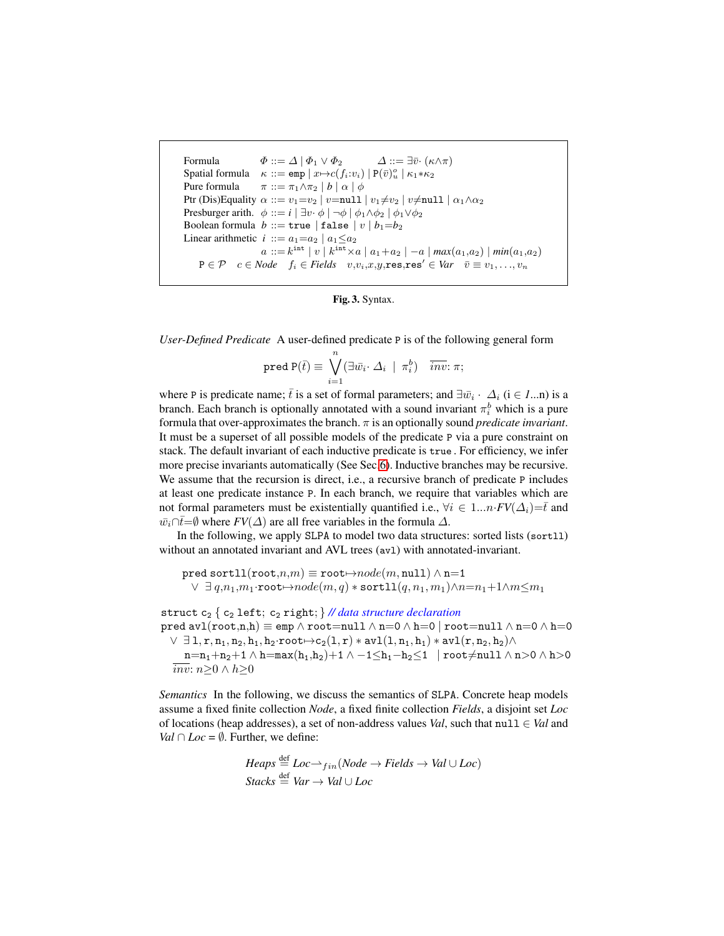```
Formula \Phi ::= \Delta | \Phi_1 \vee \Phi_2 \qquad \Delta ::= \exists \overline{v} \cdot (\kappa \wedge \pi)Spatial formula \kappa ::= \text{emp} | x \mapsto c(f_i : v_i) | P(\bar{v})_u^o | \kappa_1 * \kappa_2Pure formula \pi ::= \pi_1 \wedge \pi_2 | b | \alpha | \phiPtr (Dis)Equality \alpha ::= v_1 = v_2 \mid v = \text{null} \mid v_1 \neq v_2 \mid v \neq \text{null} \mid \alpha_1 \wedge \alpha_2Presburger arith. \phi ::= i | \exists v \cdot \phi | \neg \phi | \phi_1 \wedge \phi_2 | \phi_1 \vee \phi_2Boolean formula b ::= true | false | v | b_1 = b_2Linear arithmetic i ::= a_1 = a_2 | a_1 \le a_2a ::= k^{int} | v | k^{int} \times a | a_1+a_2 | −a | max(a_1,a_2) | min(a_1,a_2)P \in \mathcal{P} c \in Node f_i \in Fields v, v_i, x, y, \text{res,res}' \in Var \overline{v} \equiv v_1, \ldots, v_n
```
<span id="page-7-0"></span>Fig. 3. Syntax.

*User-Defined Predicate* A user-defined predicate P is of the following general form

$$
\mathtt{pred}\ \mathtt{P}(\bar{t}) \equiv \bigvee_{i=1}^n (\exists \bar{w_i} \cdotp \varDelta_i \,\mid\, \pi_i^b) \quad \overline{inv} \cdotp \pi;
$$

where P is predicate name;  $\bar{t}$  is a set of formal parameters; and  $\exists \bar{w_i} \cdot \Delta_i$  ( $i \in I...n$ ) is a branch. Each branch is optionally annotated with a sound invariant  $\pi_i^b$  which is a pure formula that over-approximates the branch. π is an optionally sound *predicate invariant*. It must be a superset of all possible models of the predicate P via a pure constraint on stack. The default invariant of each inductive predicate is true . For efficiency, we infer more precise invariants automatically (See Sec[.6\)](#page-12-0). Inductive branches may be recursive. We assume that the recursion is direct, i.e., a recursive branch of predicate P includes at least one predicate instance P. In each branch, we require that variables which are not formal parameters must be existentially quantified i.e.,  $\forall i \in 1...n$ *·FV*( $\Delta_i$ )= $\overline{t}$  and  $\overline{w}_i \cap \overline{t} = \emptyset$  where  $FV(\Delta)$  are all free variables in the formula  $\Delta$ .

In the following, we apply SLPA to model two data structures: sorted lists (sortll) without an annotated invariant and AVL trees (av1) with annotated-invariant.

pred sortll(root, $n,m$ )  $\equiv$  root $\mapsto node(m, \texttt{null}) \wedge \texttt{n=1}$  $\vee \exists q, n_1, m_1 \cdot \texttt{root} \mapsto node(m, q) * \texttt{sortll}(q, n_1, m_1) \wedge n = n_1+1 \wedge m \leq m_1$ 

struct c<sup>2</sup> { c<sup>2</sup> left; c<sup>2</sup> right; } *// data structure declaration* pred avl(root,n,h)  $\equiv$ emp  $\land$  root=null  $\land$  n=0  $\land$  h=0 | root=null  $\land$  n=0  $\land$  h=0  $\vee \exists 1, r, n_1, n_2, h_1, h_2 \cdot root \mapsto c_2(1, r) * av1(1, n_1, h_1) * av1(r, n_2, h_2) \wedge$  $\mathtt{n}{=} \mathtt{n}_1+\mathtt{n}_2+1 \land \mathtt{h}{=} \mathtt{max}(\mathtt{h}_1,\mathtt{h}_2)+1 \land -1{\leq}\mathtt{h}_1-\mathtt{h}_2{\leq} 1 \quad | \text{ root}{\neq} \mathtt{null} \land \mathtt{n}{>}0 \land \mathtt{h}{>}0$  $\overline{inv}$ :  $n≥0 \wedge h≥0$ 

*Semantics* In the following, we discuss the semantics of SLPA. Concrete heap models assume a fixed finite collection *Node*, a fixed finite collection *Fields*, a disjoint set *Loc* of locations (heap addresses), a set of non-address values *Val*, such that null ∈ *Val* and *Val* ∩ *Loc* =  $\emptyset$ . Further, we define:

$$
Heaps \stackrel{\text{def}}{=} Loc \rightarrow f_{in}(Node \rightarrow Fields \rightarrow Val \cup Loc)
$$
  
Stacks \stackrel{\text{def}}{=} Var \rightarrow Val \cup Loc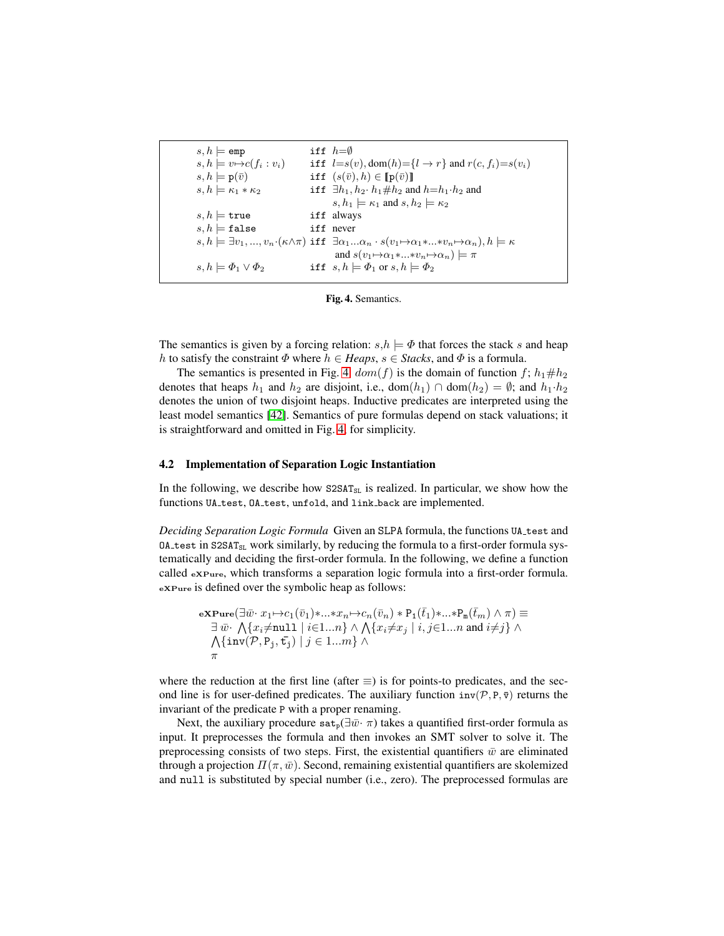```
s, h \models \text{emp} iff h = \emptysets, h \models v \mapsto c(f_i : v_i) iff l=s(v), \text{dom}(h)=\{l \rightarrow r\} and r(c, f_i)=s(v_i)s, h \models p(\bar{v}) iff (s(\bar{v}), h) \in [\![p(\bar{v})]\!]s, h \models \kappa_1 * \kappa_2 iff \exists h_1, h_2 \cdot h_1 \# h_2 and h = h_1 \cdot h_2 and
                                               s, h_1 \models \kappa_1 and s, h_2 \models \kappa_2s, h \models true iff always
s, h \models false iff never
s, h \models \exists v_1, ..., v_n \cdot (\kappa \wedge \pi) \text{ iff } \exists \alpha_1 ... \alpha_n \cdot s(v_1 \mapsto \alpha_1 * ... * v_n \mapsto \alpha_n), h \models \kappaand s(v_1 \rightarrow \alpha_1 \ast ... \ast v_n \rightarrow \alpha_n) \models \pis, h \models \Phi_1 \vee \Phi_2 iff s, h \models \Phi_1 or s, h \models \Phi_2
```
<span id="page-8-0"></span>Fig. 4. Semantics.

The semantics is given by a forcing relation:  $s,h \models \Phi$  that forces the stack s and heap h to satisfy the constraint  $\Phi$  where  $h \in Heaps$ ,  $s \in Stacks$ , and  $\Phi$  is a formula.

The semantics is presented in Fig. [4.](#page-8-0)  $dom(f)$  is the domain of function  $f$ ;  $h_1 \# h_2$ denotes that heaps  $h_1$  and  $h_2$  are disjoint, i.e.,  $dom(h_1) \cap dom(h_2) = \emptyset$ ; and  $h_1 \cdot h_2$ denotes the union of two disjoint heaps. Inductive predicates are interpreted using the least model semantics [\[42\]](#page-19-12). Semantics of pure formulas depend on stack valuations; it is straightforward and omitted in Fig. [4,](#page-8-0) for simplicity.

#### 4.2 Implementation of Separation Logic Instantiation

In the following, we describe how  $S2SAT_{SL}$  is realized. In particular, we show how the functions UA\_test, OA\_test, unfold, and link\_back are implemented.

*Deciding Separation Logic Formula* Given an SLPA formula, the functions UA test and  $0A$  test in S2SAT<sub>SL</sub> work similarly, by reducing the formula to a first-order formula systematically and deciding the first-order formula. In the following, we define a function called eXPure, which transforms a separation logic formula into a first-order formula. eXPure is defined over the symbolic heap as follows:

$$
\mathbf{exp}\ \mathbf{ure}(\exists \bar{w}\cdot x_1 \mapsto c_1(\bar{v}_1) * \dots * x_n \mapsto c_n(\bar{v}_n) * \mathbf{P}_1(\bar{t}_1) * \dots * \mathbf{P}_m(\bar{t}_m) \land \pi) \equiv \exists \ \bar{w}\cdot \bigwedge \{x_i \neq \texttt{null} \mid i \in 1 \dots n\} \land \bigwedge \{x_i \neq x_j \mid i, j \in 1 \dots n \text{ and } i \neq j\} \land \pi
$$
\n
$$
\bigwedge \{\texttt{inv}(\mathcal{P}, \mathbf{P}_j, \mathbf{t}_j) \mid j \in 1 \dots m\} \land \pi
$$

where the reduction at the first line (after  $\equiv$ ) is for points-to predicates, and the second line is for user-defined predicates. The auxiliary function  $inv(\mathcal{P}, P, \bar{v})$  returns the invariant of the predicate P with a proper renaming.

Next, the auxiliary procedure  $\text{sat}_p(\exists \overline{w} \cdot \pi)$  takes a quantified first-order formula as input. It preprocesses the formula and then invokes an SMT solver to solve it. The preprocessing consists of two steps. First, the existential quantifiers  $\bar{w}$  are eliminated through a projection  $\Pi(\pi,\bar{w})$ . Second, remaining existential quantifiers are skolemized and null is substituted by special number (i.e., zero). The preprocessed formulas are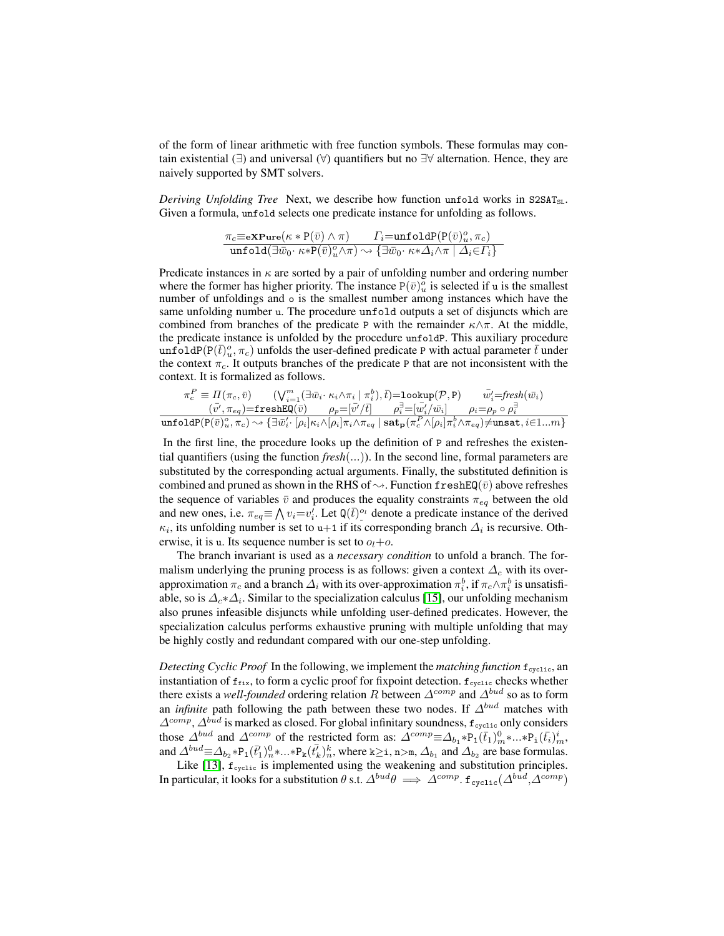of the form of linear arithmetic with free function symbols. These formulas may contain existential (∃) and universal (∀) quantifiers but no ∃∀ alternation. Hence, they are naively supported by SMT solvers.

*Deriving Unfolding Tree* Next, we describe how function unfold works in S2SAT<sub>SL</sub>. Given a formula, unfold selects one predicate instance for unfolding as follows.

$$
\frac{\pi_c\text{#value}(\kappa*\mathbf{P}(\bar{v})\wedge\pi)\qquad \qquad \Gamma_i\text{=} \text{unfold}\mathbf{P}(\mathbf{P}(\bar{v})_u^o, \pi_c)}{\text{unfold}(\exists \bar{w}_0\cdotp\kappa*\mathbf{P}(\bar{v})_u^o\wedge\pi)\leadsto \{\exists \bar{w}_0\cdotp\kappa*\varDelta_i\wedge\pi\mid \varDelta_i\in\varGamma_i\}}
$$

Predicate instances in  $\kappa$  are sorted by a pair of unfolding number and ordering number where the former has higher priority. The instance  $P(\bar{v})_u^{\bar{o}}$  is selected if u is the smallest number of unfoldings and o is the smallest number among instances which have the same unfolding number u. The procedure unfold outputs a set of disjuncts which are combined from branches of the predicate P with the remainder  $\kappa \wedge \pi$ . At the middle, the predicate instance is unfolded by the procedure unfoldP. This auxiliary procedure unfold $P(P(\bar{t})_u^o, \pi_c)$  unfolds the user-defined predicate P with actual parameter  $\bar{t}$  under the context  $\pi_c$ . It outputs branches of the predicate P that are not inconsistent with the context. It is formalized as follows.

$$
\begin{array}{rl} \pi_{c}^{P} \equiv \varPi(\pi_{c},\bar{v}) & (\bigvee_{i=1}^{m}(\exists \bar{w}_{i}\cdot\kappa_{i}\wedge\pi_{i}\mid\pi_{i}^{b}),\bar{t})\!=\!\text{lookup}(\mathcal{P},\text{P}) & \bar{w}_{i}'\!=\!\!\text{fresh}(\bar{w}_{i})\\ & (\bar{v}',\pi_{eq})\!=\!\text{freshEQ}(\bar{v}) & \rho_{p}\!=\!\bar{[v'}/\bar{t}] & \rho_{i}^{\exists}=\!\bar{[w}'_{i}/\bar{w}_{i}\!| & \rho_{i}\!=\!\rho_{p}\circ\rho_{i}^{\exists}\\ \text{unfoldP}(\text{P}(\bar{v})_{u}^{0},\pi_{c})\leadsto \{\exists \bar{w}_{i}'\!\cdot[\rho_{i}]\kappa_{i}\wedge[\rho_{i}]\pi_{i}\wedge\pi_{eq}\mid \text{sat}_{\textbf{p}}(\pi_{c}^{P}\wedge[\rho_{i}]\pi_{i}^{b}\wedge\pi_{eq})\!\neq\!\text{unsat},i\!\in\!\!1...m\}\end{array}
$$

In the first line, the procedure looks up the definition of P and refreshes the existential quantifiers (using the function *fresh*(...)). In the second line, formal parameters are substituted by the corresponding actual arguments. Finally, the substituted definition is combined and pruned as shown in the RHS of  $\rightsquigarrow$ . Function freshEQ( $\bar{v}$ ) above refreshes the sequence of variables  $\bar{v}$  and produces the equality constraints  $\pi_{eq}$  between the old and new ones, i.e.  $\pi_{eq} \equiv \bigwedge v_i = v'_i$ . Let  $\mathbb{Q}(\bar{t})^{\circ}$  denote a predicate instance of the derived  $\kappa_i$ , its unfolding number is set to u+1 if its corresponding branch  $\Delta_i$  is recursive. Otherwise, it is u. Its sequence number is set to  $o<sub>l</sub>+o$ .

The branch invariant is used as a *necessary condition* to unfold a branch. The formalism underlying the pruning process is as follows: given a context  $\Delta_c$  with its overapproximation  $\pi_c$  and a branch  $\Delta_i$  with its over-approximation  $\pi_i^b$ , if  $\pi_c \wedge \pi_i^b$  is unsatisfiable, so is  $\Delta_c * \Delta_i$ . Similar to the specialization calculus [\[15\]](#page-18-12), our unfolding mechanism also prunes infeasible disjuncts while unfolding user-defined predicates. However, the specialization calculus performs exhaustive pruning with multiple unfolding that may be highly costly and redundant compared with our one-step unfolding.

<span id="page-9-0"></span>*Detecting Cyclic Proof* In the following, we implement the *matching function*  $f_{\text{cyclic}}$ , an instantiation of  $f_{fix}$ , to form a cyclic proof for fixpoint detection.  $f_{cyclic}$  checks whether there exists a *well-founded* ordering relation R between  $\Delta^{comp}$  and  $\Delta^{bud}$  so as to form an *infinite* path following the path between these two nodes. If  $\Delta^{bud}$  matches with  $\Delta^{comp}$ ,  $\Delta^{bud}$  is marked as closed. For global infinitary soundness,  $f_{\text{cyclic}}$  only considers those  $\Delta^{bud}$  and  $\Delta^{comp}$  of the restricted form as:  $\Delta^{comp} \equiv \Delta_{b_1} * \mathsf{P}_1(\bar{t}_1)_m^0 * ... * \mathsf{P}_1(\bar{t}_i)_m^i$ , and  $\Delta^{bud} \equiv \Delta_{b_2} * \mathsf{P}_1(\bar{t}_1')^0_n * \dots * \mathsf{P}_k(\bar{t}_k')^k_n$ , where k≥i, n>m,  $\Delta_{b_1}$  and  $\Delta_{b_2}$  are base formulas.

Like  $[13]$ ,  $f_{\text{cyclic}}$  is implemented using the weakening and substitution principles. In particular, it looks for a substitution  $\theta$  s.t.  $\Delta^{bud}\theta \implies \Delta^{comp}$ .  $f_{\text{cyclic}}(\Delta^{bud}, \Delta^{comp})$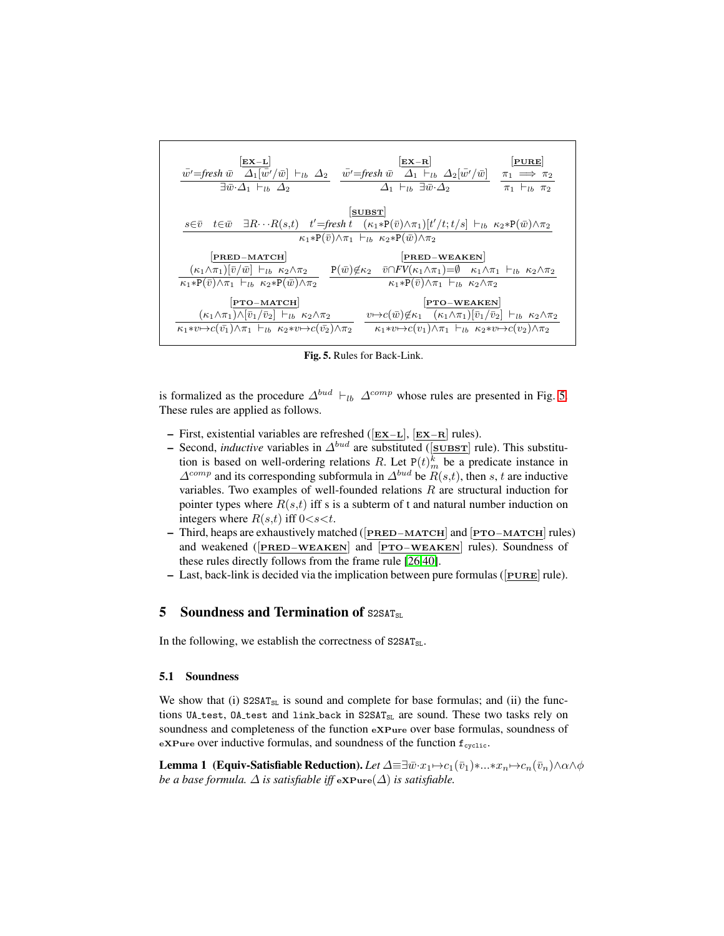

<span id="page-10-1"></span>Fig. 5. Rules for Back-Link.

is formalized as the procedure  $\Delta^{bud} \vdash_{lb} \Delta^{comp}$  whose rules are presented in Fig. [5.](#page-10-1) These rules are applied as follows.

- First, existential variables are refreshed ( $[Ex-L]$ ,  $[Ex-R]$  rules).
- Second, *inductive* variables in  $\Delta^{bud}$  are substituted ([SUBST] rule). This substitution is based on well-ordering relations R. Let  $P(t)_{m}^{k}$  be a predicate instance in  $\Delta^{comp}$  and its corresponding subformula in  $\Delta^{bud}$  be  $R(s,t)$ , then s, t are inductive variables. Two examples of well-founded relations R are structural induction for pointer types where  $R(s,t)$  iff s is a subterm of t and natural number induction on integers where  $R(s,t)$  iff  $0 < s < t$ .
- Third, heaps are exhaustively matched ([PRED−MATCH] and [PTO−MATCH] rules) and weakened ([PRED−WEAKEN] and [PTO−WEAKEN] rules). Soundness of these rules directly follows from the frame rule [\[26,](#page-19-1)[40\]](#page-19-2).
- Last, back-link is decided via the implication between pure formulas ( $[PURE]$  rule).

# <span id="page-10-0"></span>5 Soundness and Termination of  $S2SAT_{SL}$

In the following, we establish the correctness of  $S2SAT_{SL}$ .

#### 5.1 Soundness

We show that (i)  $S2SAT_{SL}$  is sound and complete for base formulas; and (ii) the functions UA\_test, OA\_test and link\_back in S2SAT<sub>SL</sub> are sound. These two tasks rely on soundness and completeness of the function eXPure over base formulas, soundness of eXPure over inductive formulas, and soundness of the function  $f_{\text{cyclic}}$ .

<span id="page-10-2"></span>**Lemma 1** (Equiv-Satisfiable Reduction). Let  $\Delta \equiv \exists \bar{w} \cdot x_1 \mapsto c_1(\bar{v}_1) * ... * x_n \mapsto c_n(\bar{v}_n) \wedge \alpha \wedge \phi$ *be a base formula.*  $\Delta$  *is satisfiable iff*  $\exp(\Delta)$  *is satisfiable.*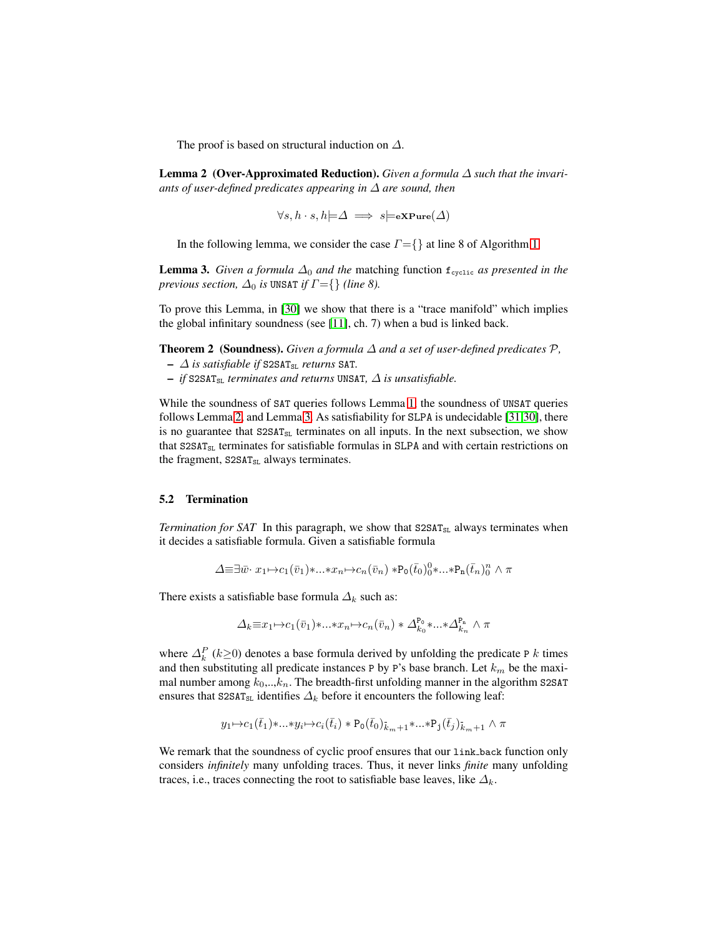<span id="page-11-0"></span>The proof is based on structural induction on  $\Delta$ .

Lemma 2 (Over-Approximated Reduction). *Given a formula* ∆ *such that the invariants of user-defined predicates appearing in* ∆ *are sound, then*

<span id="page-11-1"></span>
$$
\forall s, h \cdot s, h \models \Delta \implies s \models \mathbf{exPure}(\Delta)
$$

In the following lemma, we consider the case  $\Gamma = \{\}$  at line 8 of Algorithm [1.](#page-4-1)

**Lemma 3.** *Given a formula*  $\Delta_0$  *and the* matching function  $f_{\text{cyclic}}$  *as presented in the previous section,*  $\Delta_0$  *is* UNSAT *if*  $\Gamma = \{ \}$  *(line 8).* 

To prove this Lemma, in [\[30\]](#page-19-6) we show that there is a "trace manifold" which implies the global infinitary soundness (see [\[11\]](#page-18-13), ch. 7) when a bud is linked back.

**Theorem 2** (Soundness). *Given a formula*  $\Delta$  *and a set of user-defined predicates*  $\mathcal{P}$ *,* 

- $\Delta$  *is satisfiable if* S2SAT<sub>SL</sub> *returns* SAT.
- $-$  *if* S2SAT<sub>SL</sub> *terminates and returns* UNSAT,  $\Delta$  *is unsatisfiable.*

While the soundness of SAT queries follows Lemma [1,](#page-10-2) the soundness of UNSAT queries follows Lemma [2,](#page-11-0) and Lemma [3.](#page-11-1) As satisfiability for SLPA is undecidable [\[31](#page-19-5)[,30\]](#page-19-6), there is no guarantee that  $S2SAT_{SL}$  terminates on all inputs. In the next subsection, we show that  $S2SAT_{SL}$  terminates for satisfiable formulas in SLPA and with certain restrictions on the fragment,  $S2SAT_{SL}$  always terminates.

#### 5.2 Termination

*Termination for SAT* In this paragraph, we show that  $S2SAT_{SL}$  always terminates when it decides a satisfiable formula. Given a satisfiable formula

$$
\varDelta \equiv \exists \bar{w}\cdotp x_1 \mapsto c_1(\bar{v}_1) \ast \ldots \ast x_n \mapsto c_n(\bar{v}_n) \ast \mathtt{P_0}(\bar{t}_0)^0_0 \ast \ldots \ast \mathtt{P_n}(\bar{t}_n)^n_0 \wedge \pi
$$

There exists a satisfiable base formula  $\Delta_k$  such as:

$$
\Delta_k \equiv x_1 \mapsto c_1(\bar{v}_1) \ast \ldots \ast x_n \mapsto c_n(\bar{v}_n) \ast \Delta_{k_0}^{\mathbf{p}_0} \ast \ldots \ast \Delta_{k_n}^{\mathbf{p}_n} \wedge \pi
$$

where  $\Delta_k^P$  ( $k \ge 0$ ) denotes a base formula derived by unfolding the predicate P k times and then substituting all predicate instances P by P's base branch. Let  $k_m$  be the maximal number among  $k_0,...,k_n$ . The breadth-first unfolding manner in the algorithm S2SAT ensures that S2SAT<sub>SL</sub> identifies  $\Delta_k$  before it encounters the following leaf:

$$
y_1\hspace{-0.2ex}\mapsto\hspace{-0.2ex}c_1(\bar{t}_1)\hspace{-0.2ex}*\hspace{-0.2ex}...\hspace{-0.2ex}*\hspace{-0.2ex}y_i\hspace{-0.2ex}\mapsto\hspace{-0.2ex}c_i(\bar{t}_i)\hspace{-0.2ex}*\hspace{-0.2ex}\mathtt{P_0}(\bar{t}_0)_{\bar{k}_m+1}\hspace{-0.2ex}*\hspace{-0.2ex}...\hspace{-0.2ex}*\hspace{-0.2ex}\mathtt{P_j}(\bar{t}_j)_{\bar{k}_m+1}\wedge\pi
$$

We remark that the soundness of cyclic proof ensures that our link back function only considers *infinitely* many unfolding traces. Thus, it never links *finite* many unfolding traces, i.e., traces connecting the root to satisfiable base leaves, like  $\Delta_k$ .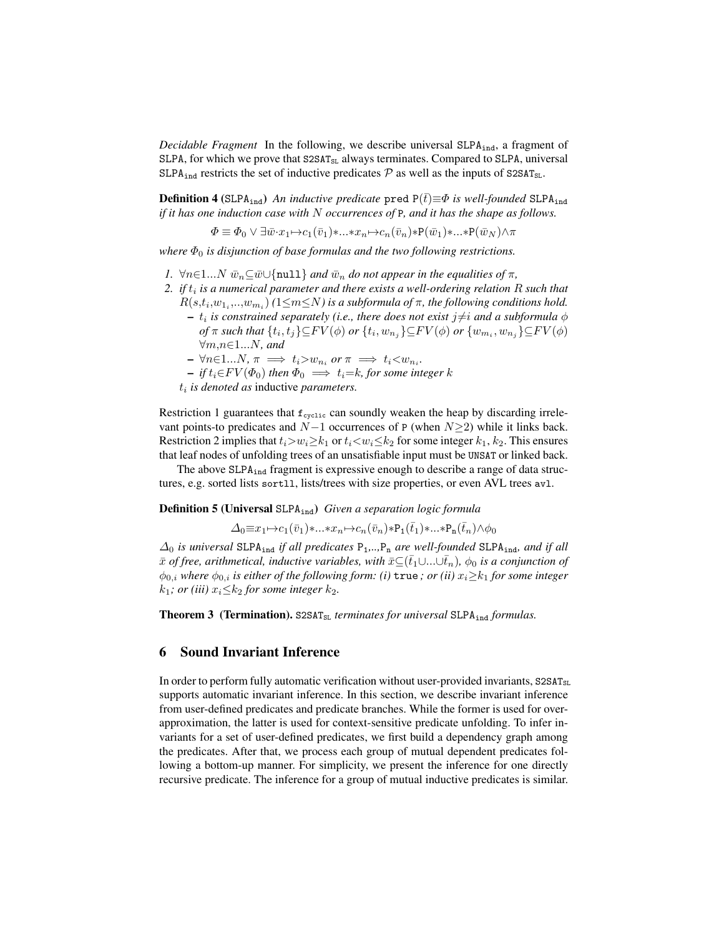*Decidable Fragment* In the following, we describe universal SLPA<sub>ind</sub>, a fragment of  $SLPA$ , for which we prove that  $S2SAT_{SL}$  always terminates. Compared to SLPA, universal  $SLPA<sub>ind</sub>$  restricts the set of inductive predicates  $P$  as well as the inputs of S2SAT<sub>SL</sub>.

**Definition 4** (SLPA<sub>ind</sub>) *An inductive predicate* pred  $P(t) \equiv \Phi$  *is well-founded* SLPA<sub>ind</sub> *if it has one induction case with* N *occurrences of* P*, and it has the shape as follows.*

$$
\Phi \equiv \Phi_0 \lor \exists \bar{w} \cdot x_1 \mapsto c_1(\bar{v}_1) * \dots * x_n \mapsto c_n(\bar{v}_n) * \mathbf{P}(\bar{w}_1) * \dots * \mathbf{P}(\bar{w}_N) \land \pi
$$

*where*  $\Phi_0$  *is disjunction of base formulas and the two following restrictions.* 

- *1.*  $\forall n \in 1...N$   $\overline{w}_n \subseteq \overline{w} \cup \{ \text{null} \}$  *and*  $\overline{w}_n$  *do not appear in the equalities of*  $\pi$ *,*
- *2. if* t<sup>i</sup> *is a numerical parameter and there exists a well-ordering relation* R *such that*  $R(s,t_i,w_{1_i},...,w_{m_i})$  ( $1\leq m\leq N$ ) is a subformula of  $\pi$ , the following conditions hold.
	- $t_i$  is constrained separately (i.e., there does not exist  $j\neq i$  and a subformula  $\phi$ *of*  $\pi$  *such that*  $\{t_i, t_j\} \subseteq FV(\phi)$  *or*  $\{t_i, w_{n_j}\} \subseteq FV(\phi)$  *or*  $\{w_{m_i}, w_{n_j}\} \subseteq FV(\phi)$ ∀m,n∈1...N*, and*
	- $\rightarrow \forall n \in 1...N, \pi \implies t_i > w_{n_i} \text{ or } \pi \implies t_i < w_{n_i}.$
	- $-$  *if*  $t_i \in FV(\Phi_0)$  *then*  $\Phi_0 \implies t_i = k$ *, for some integer* k
	- $t_i$  *is denoted as inductive parameters.*

Restriction 1 guarantees that  $f_{\text{cyclic}}$  can soundly weaken the heap by discarding irrelevant points-to predicates and  $N-1$  occurrences of P (when  $N\geq 2$ ) while it links back. Restriction 2 implies that  $t_i>w_i\geq k_1$  or  $t_i< w_i\leq k_2$  for some integer  $k_1, k_2$ . This ensures that leaf nodes of unfolding trees of an unsatisfiable input must be UNSAT or linked back.

The above SLPA<sub>ind</sub> fragment is expressive enough to describe a range of data structures, e.g. sorted lists sortll, lists/trees with size properties, or even AVL trees avl.

Definition 5 (Universal SLPAind) *Given a separation logic formula*

 $\Delta_0 \equiv x_1 \mapsto c_1(\bar{v}_1) * ... * x_n \mapsto c_n(\bar{v}_n) * P_1(\bar{t}_1) * ... * P_n(\bar{t}_n) \wedge \phi_0$ 

 $\Delta_0$  *is universal* SLPA<sub>ind</sub> *if all predicates*  $P_1, \ldots, P_n$  *are well-founded* SLPA<sub>ind</sub>*, and if all*  $\bar{x}$  *of free, arithmetical, inductive variables, with*  $\bar{x} \subseteq (\bar{t}_1 \cup ... \cup \bar{t}_n)$ *,*  $\phi_0$  *is a conjunction of*  $\phi_{0,i}$  *where*  $\phi_{0,i}$  *is either of the following form: (i)* true *; or (ii)*  $x_i \geq k_1$  *for some integer*  $k_1$ *; or (iii)*  $x_i \leq k_2$  *for some integer*  $k_2$ *.* 

Theorem 3 (Termination). S2SAT<sub>SL</sub> terminates for universal SLPA<sub>ind</sub> formulas.

#### <span id="page-12-0"></span>6 Sound Invariant Inference

In order to perform fully automatic verification without user-provided invariants, S2SAT<sub>SL</sub> supports automatic invariant inference. In this section, we describe invariant inference from user-defined predicates and predicate branches. While the former is used for overapproximation, the latter is used for context-sensitive predicate unfolding. To infer invariants for a set of user-defined predicates, we first build a dependency graph among the predicates. After that, we process each group of mutual dependent predicates following a bottom-up manner. For simplicity, we present the inference for one directly recursive predicate. The inference for a group of mutual inductive predicates is similar.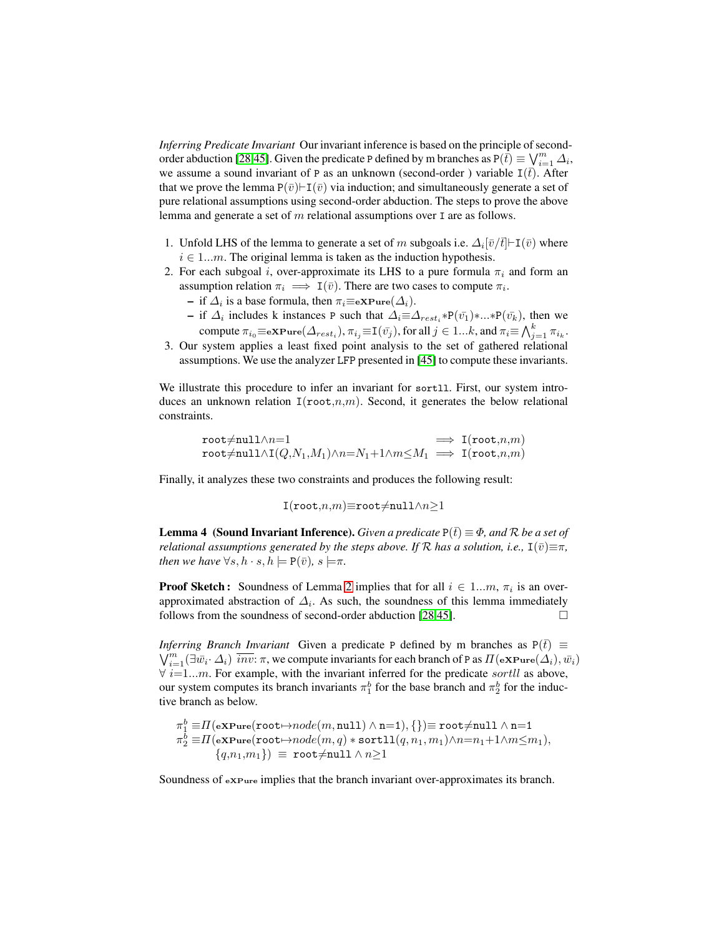*Inferring Predicate Invariant* Our invariant inference is based on the principle of second-order abduction [\[28,](#page-19-13)[45\]](#page-19-14). Given the predicate P defined by m branches as  $P(\tilde{t}) \equiv \bigvee_{i=1}^{m} \Delta_i$ , we assume a sound invariant of P as an unknown (second-order ) variable  $I(\bar{t})$ . After that we prove the lemma  $P(\bar{v})\vdash I(\bar{v})$  via induction; and simultaneously generate a set of pure relational assumptions using second-order abduction. The steps to prove the above lemma and generate a set of m relational assumptions over I are as follows.

- 1. Unfold LHS of the lemma to generate a set of m subgoals i.e.  $\Delta_i[\bar{v}/\bar{t}]$   $\vdash$  I $(\bar{v})$  where  $i \in 1...m$ . The original lemma is taken as the induction hypothesis.
- 2. For each subgoal i, over-approximate its LHS to a pure formula  $\pi_i$  and form an assumption relation  $\pi_i \implies I(\bar{v})$ . There are two cases to compute  $\pi_i$ .
	- $-$  if  $\Delta_i$  is a base formula, then  $\pi_i \equiv e \mathbf{X} \mathbf{P} \mathbf{u} \cdot \mathbf{e} (\Delta_i)$ .
	- if  $\Delta_i$  includes k instances P such that  $\Delta_i \equiv \Delta_{rest_i} * P(\bar{v}_1) * ... * P(\bar{v}_k)$ , then we compute  $\pi_{i_0} \equiv$ eXPure $(\Delta_{rest_i}), \pi_{i_j} \equiv$ I $(\bar{v_j}),$  for all  $j \in 1...k$ , and  $\pi_i$  $\equiv$   $\bigwedge_{j=1}^k \pi_{i_k}$ .
- 3. Our system applies a least fixed point analysis to the set of gathered relational assumptions. We use the analyzer LFP presented in [\[45\]](#page-19-14) to compute these invariants.

We illustrate this procedure to infer an invariant for sort11. First, our system introduces an unknown relation  $I(root, n,m)$ . Second, it generates the below relational constraints.

$$
\begin{array}{lcl} \texttt{root}\neq \texttt{null}\wedge n=1 &\implies \texttt{I}(\texttt{root}, n, m) \\ \texttt{root}\neq \texttt{null}\wedge \texttt{I}(Q, N_1, M_1) \wedge n=N_1+1 \wedge m \leq M_1 &\implies \texttt{I}(\texttt{root}, n, m) \end{array}
$$

Finally, it analyzes these two constraints and produces the following result:

$$
\texttt{I}(\texttt{root}, n, m) \texttt{\equiv} \texttt{root} \texttt{\neq} \texttt{null} \land n \texttt{\geq} 1
$$

**Lemma 4** (Sound Invariant Inference). *Given a predicate*  $P(\bar{t}) \equiv \Phi$ *, and*  $\mathcal{R}$  *be a set of relational assumptions generated by the steps above. If*  $\mathcal{R}$  *has a solution, i.e.,*  $I(\bar{v}) \equiv \pi$ *, then we have*  $\forall s, h \cdot s, h \models P(\bar{v}), s \models \pi$ .

**Proof Sketch:** Soundness of Lemma [2](#page-11-0) implies that for all  $i \in 1...m$ ,  $\pi_i$  is an overapproximated abstraction of  $\Delta_i$ . As such, the soundness of this lemma immediately follows from the soundness of second-order abduction [\[28,](#page-19-13)[45\]](#page-19-14).  $\Box$ 

*Inferring Branch Invariant* Given a predicate P defined by m branches as  $P(\bar{t}) \equiv \bigvee_{i=1}^{m} (\exists \bar{w}_i \cdot \Delta_i) \overline{inv} \cdot \pi$ , we compute invariants for each branch of P as  $\Pi(\mathbf{exPure}(\Delta_i), \bar{w}_i)$  $\forall i=1...m$ . For example, with the invariant inferred for the predicate sortll as above, our system computes its branch invariants  $\pi_1^b$  for the base branch and  $\pi_2^b$  for the inductive branch as below.

$$
\pi_2^b \equiv \Pi(\text{exPure}(\text{root}\mapsto node(m,\text{null}) \land \text{n=1}), \{\}) \equiv \text{root} \neq \text{null} \land \text{n=1}
$$
\n
$$
\pi_2^b \equiv \Pi(\text{exPure}(\text{root}\mapsto node(m,q) * \text{sortll}(q, n_1, m_1) \land n = n_1 + 1 \land m \leq m_1),
$$
\n
$$
\{q, n_1, m_1\}\} \equiv \text{root} \neq \text{null} \land n \geq 1
$$

Soundness of eXPure implies that the branch invariant over-approximates its branch.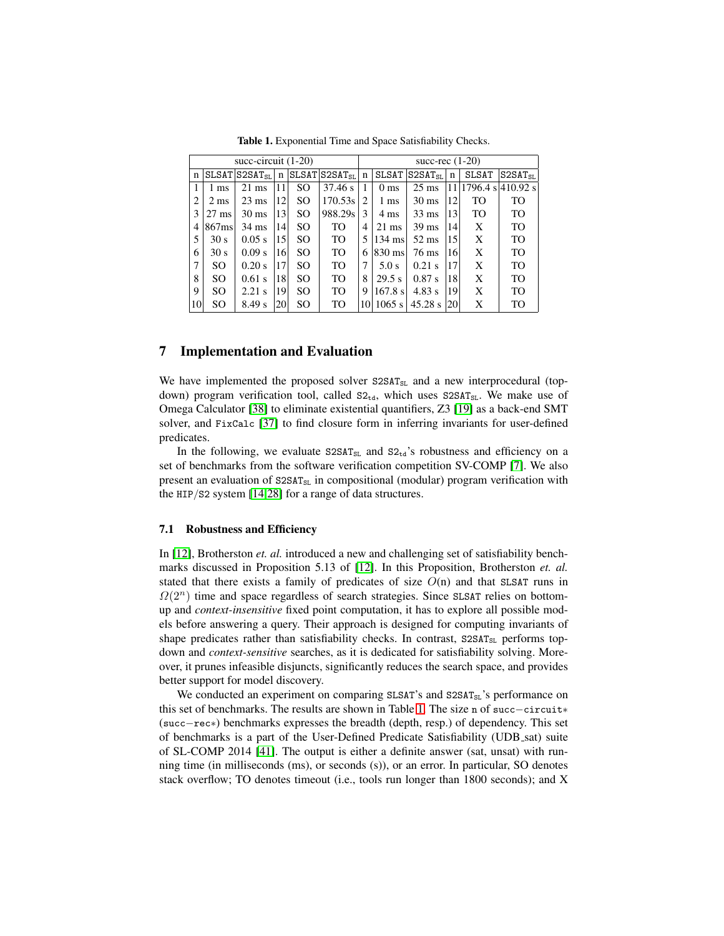|                | succ-circuit $(1-20)$ |                        |                 |     |                               | succ-rec $(1-20)$ |                 |                        |    |              |                     |
|----------------|-----------------------|------------------------|-----------------|-----|-------------------------------|-------------------|-----------------|------------------------|----|--------------|---------------------|
| n              |                       | $SLSAT$ $ S2SAT_{SL} $ |                 |     | $n$ SLSAT S2SAT <sub>SL</sub> | n                 |                 | $SLSAT$ $ S2SAT_{SL} $ | n  | <b>SLSAT</b> | S2SAT <sub>SL</sub> |
|                | 1 ms                  | $21 \text{ ms}$        | 11              | SO. | 37.46 s                       | 1                 | 0 <sub>ms</sub> | $25 \text{ ms}$        | 11 |              | $1796.4$ s 410.92 s |
| $\mathfrak{D}$ | $2 \text{ ms}$        | $23 \text{ ms}$        | 12              | SO. | 170.53s                       | 2                 | 1 ms            | $30 \text{ ms}$        | 12 | <b>TO</b>    | <b>TO</b>           |
| 3              | $27 \text{ ms}$       | $30 \text{ ms}$        | 13              | SO. | 988.29s                       | 3                 | $4 \text{ ms}$  | $33 \text{ ms}$        | 13 | TO           | <b>TO</b>           |
| 4              | 867 <sub>ms</sub>     | $34 \text{ ms}$        | 14              | SO. | <b>TO</b>                     | 4                 | $21 \text{ ms}$ | $39 \text{ ms}$        | 14 | X            | <b>TO</b>           |
| 5              | 30 <sub>s</sub>       | 0.05 s                 | 15 <sup>1</sup> | SO. | <b>TO</b>                     | 5                 | $134$ ms        | $52 \text{ ms}$        | 15 | X            | <b>TO</b>           |
| 6              | 30 <sub>s</sub>       | 0.09 s                 | 16              | SO. | <b>TO</b>                     | 6                 | 830 msl         | 76 ms                  | 16 | X            | T <sub>O</sub>      |
| 7              | SO.                   | 0.20 s                 | 17              | SO. | TO                            | 7                 | 5.0 s           | $0.21$ s               | 17 | X            | <b>TO</b>           |
| 8              | SO.                   | 0.61 s                 | 18              | SO. | <b>TO</b>                     | 8                 | 29.5 s          | 0.87 s                 | 18 | X            | T <sub>O</sub>      |
| 9              | SO.                   | 2.21 s                 | 19              | SO. | <b>TO</b>                     | 9                 | $167.8$ s       | $4.83$ s               | 19 | X            | T <sub>O</sub>      |
| 10             | SO.                   | 8.49 s                 | <b>20</b>       | SO  | TO                            | 10                | 1065 s          | 45.28 s                | 20 | X            | TO                  |

<span id="page-14-1"></span>Table 1. Exponential Time and Space Satisfiability Checks.

### <span id="page-14-0"></span>7 Implementation and Evaluation

We have implemented the proposed solver  $S2SAT_{SL}$  and a new interprocedural (topdown) program verification tool, called  $S2_{\text{td}}$ , which uses  $S2SAT_{SL}$ . We make use of Omega Calculator [\[38\]](#page-19-15) to eliminate existential quantifiers, Z3 [\[19\]](#page-18-1) as a back-end SMT solver, and FixCalc [\[37\]](#page-19-16) to find closure form in inferring invariants for user-defined predicates.

In the following, we evaluate  $S2SAT_{SL}$  and  $S2_{td}$ 's robustness and efficiency on a set of benchmarks from the software verification competition SV-COMP [\[7\]](#page-18-14). We also present an evaluation of  $S2SAT_{SL}$  in compositional (modular) program verification with the HIP/S2 system [\[14,](#page-18-7)[28\]](#page-19-13) for a range of data structures.

#### 7.1 Robustness and Efficiency

In [\[12\]](#page-18-8), Brotherston *et. al.* introduced a new and challenging set of satisfiability benchmarks discussed in Proposition 5.13 of [\[12\]](#page-18-8). In this Proposition, Brotherston *et. al.* stated that there exists a family of predicates of size  $O(n)$  and that SLSAT runs in  $\Omega(2^n)$  time and space regardless of search strategies. Since SLSAT relies on bottomup and *context-insensitive* fixed point computation, it has to explore all possible models before answering a query. Their approach is designed for computing invariants of shape predicates rather than satisfiability checks. In contrast,  $S2SAT_{SL}$  performs topdown and *context-sensitive* searches, as it is dedicated for satisfiability solving. Moreover, it prunes infeasible disjuncts, significantly reduces the search space, and provides better support for model discovery.

We conducted an experiment on comparing SLSAT's and S2SAT<sub>SL</sub>'s performance on this set of benchmarks. The results are shown in Table [1.](#page-14-1) The size n of succ−circuit∗ (succ−rec∗) benchmarks expresses the breadth (depth, resp.) of dependency. This set of benchmarks is a part of the User-Defined Predicate Satisfiability (UDB sat) suite of SL-COMP 2014 [\[41\]](#page-19-17). The output is either a definite answer (sat, unsat) with running time (in milliseconds (ms), or seconds (s)), or an error. In particular, SO denotes stack overflow; TO denotes timeout (i.e., tools run longer than 1800 seconds); and X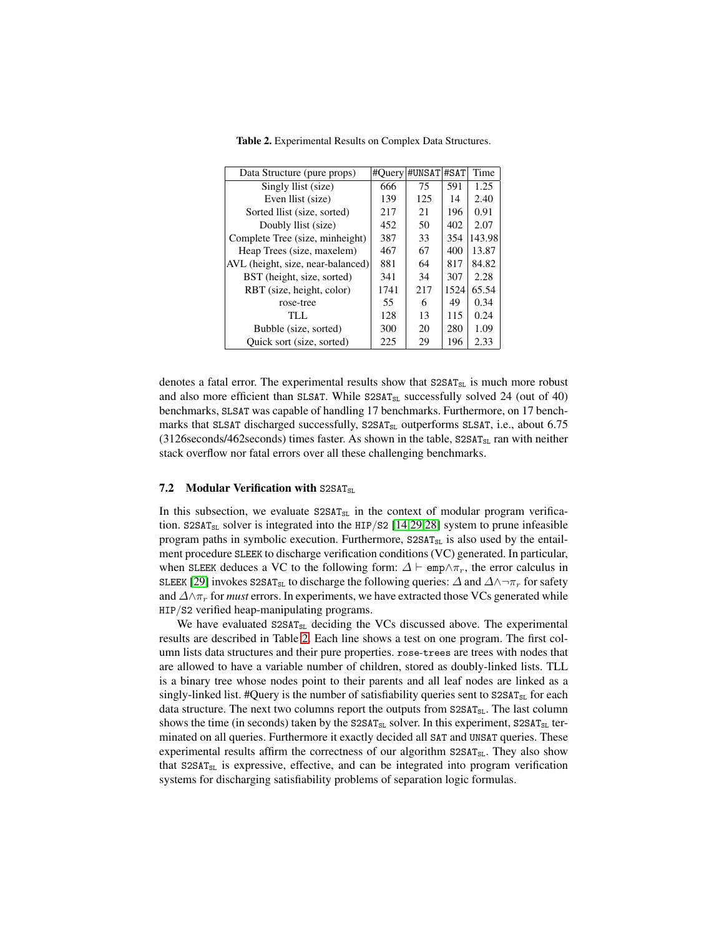| Data Structure (pure props)       | #Ouery | #UNSAT#SAT |      | Time   |
|-----------------------------------|--------|------------|------|--------|
| Singly llist (size)               | 666    | 75         | 591  | 1.25   |
| Even llist (size)                 | 139    | 125        | 14   | 2.40   |
| Sorted Ilist (size, sorted)       | 217    | 21         | 196  | 0.91   |
| Doubly llist (size)               | 452    | 50         | 402  | 2.07   |
| Complete Tree (size, minheight)   | 387    | 33         | 354  | 143.98 |
| Heap Trees (size, maxelem)        | 467    | 67         | 400  | 13.87  |
| AVL (height, size, near-balanced) | 881    | 64         | 817  | 84.82  |
| BST (height, size, sorted)        | 341    | 34         | 307  | 2.28   |
| RBT (size, height, color)         | 1741   | 217        | 1524 | 65.54  |
| rose-tree                         | 55     | 6          | 49   | 0.34   |
| TLL.                              | 128    | 13         | 115  | 0.24   |
| Bubble (size, sorted)             | 300    | 20         | 280  | 1.09   |
| Quick sort (size, sorted)         | 225    | 29         | 196  | 2.33   |

<span id="page-15-0"></span>Table 2. Experimental Results on Complex Data Structures.

denotes a fatal error. The experimental results show that  $S2SAT_{SL}$  is much more robust and also more efficient than SLSAT. While  $S2SAT_{SL}$  successfully solved 24 (out of 40) benchmarks, SLSAT was capable of handling 17 benchmarks. Furthermore, on 17 benchmarks that SLSAT discharged successfully,  $S2SAT_{SL}$  outperforms SLSAT, i.e., about 6.75  $(3126$ seconds/462 seconds) times faster. As shown in the table, S2SAT<sub>SL</sub> ran with neither stack overflow nor fatal errors over all these challenging benchmarks.

#### 7.2 Modular Verification with S2SAT<sub>SL</sub>

In this subsection, we evaluate  $S2SAT_{SL}$  in the context of modular program verifica-tion. S2SAT<sub>SL</sub> solver is integrated into the HIP/S2 [\[14,](#page-18-7)[29,](#page-19-18)[28\]](#page-19-13) system to prune infeasible program paths in symbolic execution. Furthermore,  $S2SAT_{SL}$  is also used by the entailment procedure SLEEK to discharge verification conditions (VC) generated. In particular, when SLEEK deduces a VC to the following form:  $\Delta \vdash$  emp $\wedge \pi_r$ , the error calculus in SLEEK [\[29\]](#page-19-18) invokes S2SAT<sub>SL</sub> to discharge the following queries:  $\Delta$  and  $\Delta \wedge \neg \pi_r$  for safety and  $\Delta\wedge\pi_r$  for *must* errors. In experiments, we have extracted those VCs generated while HIP/S2 verified heap-manipulating programs.

We have evaluated S2SAT<sub>SL</sub> deciding the VCs discussed above. The experimental results are described in Table [2.](#page-15-0) Each line shows a test on one program. The first column lists data structures and their pure properties. rose-trees are trees with nodes that are allowed to have a variable number of children, stored as doubly-linked lists. TLL is a binary tree whose nodes point to their parents and all leaf nodes are linked as a singly-linked list. #Query is the number of satisfiability queries sent to S2SAT<sub>SL</sub> for each data structure. The next two columns report the outputs from  $S2SAT_{SL}$ . The last column shows the time (in seconds) taken by the  $S2SAT_{SL}$  solver. In this experiment,  $S2SAT_{SL}$  terminated on all queries. Furthermore it exactly decided all SAT and UNSAT queries. These experimental results affirm the correctness of our algorithm  $S2SAT<sub>SI</sub>$ . They also show that S2SAT<sub>SL</sub> is expressive, effective, and can be integrated into program verification systems for discharging satisfiability problems of separation logic formulas.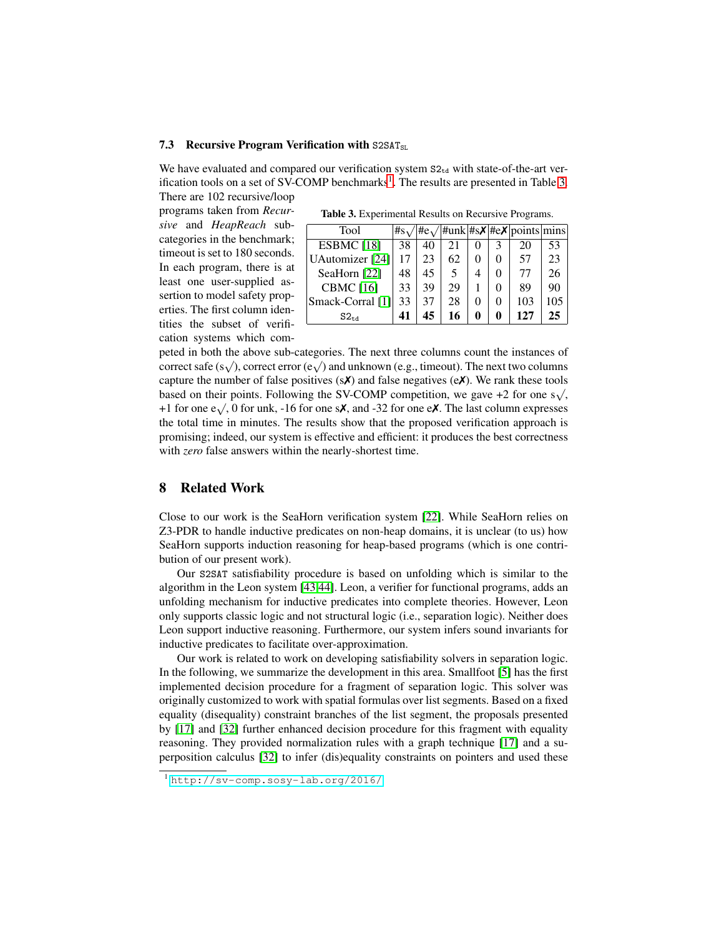#### 7.3 Recursive Program Verification with  $S2SAT_{SL}$

We have evaluated and compared our verification system  $S2_{td}$  with state-of-the-art ver-ification tools on a set of SV-COMP benchmarks<sup>[1](#page-16-0)</sup>. The results are presented in Table [3.](#page-16-1) There are 102 recursive/loop

programs taken from *Recursive* and *HeapReach* subcategories in the benchmark; timeout is set to 180 seconds. In each program, there is at least one user-supplied assertion to model safety properties. The first column identities the subset of verification systems which com-

<span id="page-16-1"></span>Table 3. Experimental Results on Recursive Programs.

| Tool             | $#s_{\lambda}$ |    |     |  | $\#e\sqrt{\#unk}\#s\mathbf{X}\#e\mathbf{X}$ points mins |     |
|------------------|----------------|----|-----|--|---------------------------------------------------------|-----|
| ESBMC [18]       | 38             | 40 | 21  |  | 20                                                      | 53  |
| UAutomizer [24]  | 17             | 23 | 62. |  | 57                                                      | 23  |
| SeaHorn [22]     | 48             | 45 | 5   |  | 77                                                      | 26  |
| <b>CBMC</b> [16] | 33             | 39 | 29  |  | 89                                                      | 90  |
| Smack-Corral [1] | 33             | 37 | 28  |  | 103                                                     | 105 |
| $S2_{\text{td}}$ |                | 45 | 16  |  | 127                                                     | 25  |

peted in both the above sub-categories. The next three columns count the instances of correct safe (s $\sqrt{}$ ), correct error (e $\sqrt{}$ ) and unknown (e.g., timeout). The next two columns capture the number of false positives  $(s\chi)$  and false negatives  $(e\chi)$ . We rank these tools based on their points. Following the SV-COMP competition, we gave +2 for one s $\sqrt$ , +1 for one e $\sqrt{$ , 0 for unk, -16 for one s $\chi$ , and -32 for one e $\chi$ . The last column expresses the total time in minutes. The results show that the proposed verification approach is promising; indeed, our system is effective and efficient: it produces the best correctness with *zero* false answers within the nearly-shortest time.

## 8 Related Work

Close to our work is the SeaHorn verification system [\[22\]](#page-19-4). While SeaHorn relies on Z3-PDR to handle inductive predicates on non-heap domains, it is unclear (to us) how SeaHorn supports induction reasoning for heap-based programs (which is one contribution of our present work).

Our S2SAT satisfiability procedure is based on unfolding which is similar to the algorithm in the Leon system [\[43,](#page-19-20)[44\]](#page-19-3). Leon, a verifier for functional programs, adds an unfolding mechanism for inductive predicates into complete theories. However, Leon only supports classic logic and not structural logic (i.e., separation logic). Neither does Leon support inductive reasoning. Furthermore, our system infers sound invariants for inductive predicates to facilitate over-approximation.

Our work is related to work on developing satisfiability solvers in separation logic. In the following, we summarize the development in this area. Smallfoot [\[5\]](#page-18-18) has the first implemented decision procedure for a fragment of separation logic. This solver was originally customized to work with spatial formulas over list segments. Based on a fixed equality (disequality) constraint branches of the list segment, the proposals presented by [\[17\]](#page-18-6) and [\[32\]](#page-19-21) further enhanced decision procedure for this fragment with equality reasoning. They provided normalization rules with a graph technique [\[17\]](#page-18-6) and a superposition calculus [\[32\]](#page-19-21) to infer (dis)equality constraints on pointers and used these

<span id="page-16-0"></span><sup>1</sup> <http://sv-comp.sosy-lab.org/2016/>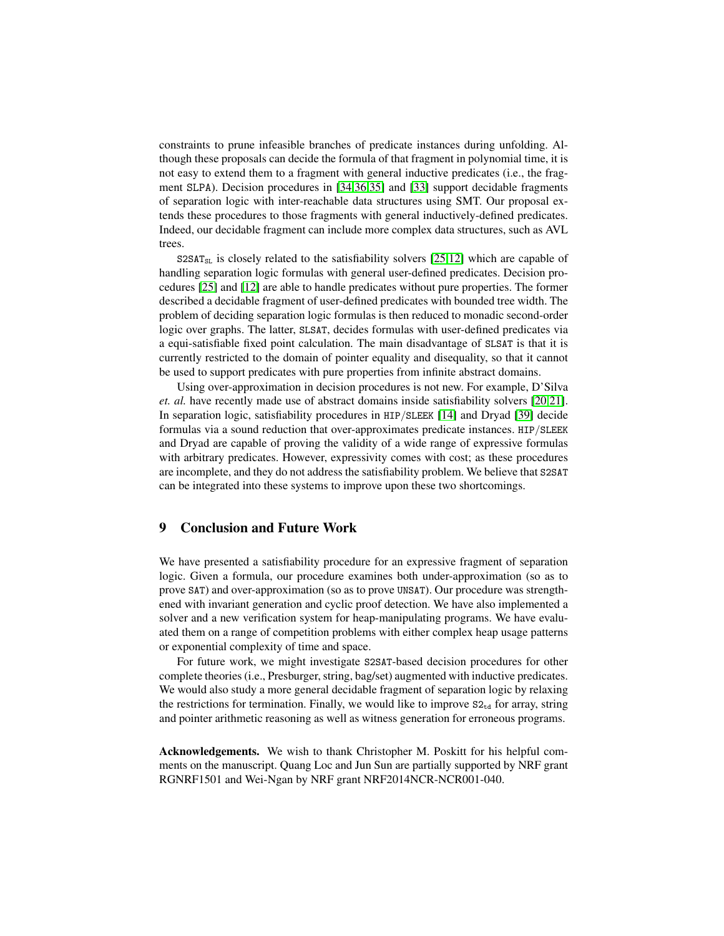constraints to prune infeasible branches of predicate instances during unfolding. Although these proposals can decide the formula of that fragment in polynomial time, it is not easy to extend them to a fragment with general inductive predicates (i.e., the fragment SLPA). Decision procedures in [\[34,](#page-19-8)[36](#page-19-9)[,35\]](#page-19-22) and [\[33\]](#page-19-23) support decidable fragments of separation logic with inter-reachable data structures using SMT. Our proposal extends these procedures to those fragments with general inductively-defined predicates. Indeed, our decidable fragment can include more complex data structures, such as AVL trees.

 $S2SAT_{SL}$  is closely related to the satisfiability solvers [\[25,](#page-19-11)[12\]](#page-18-8) which are capable of handling separation logic formulas with general user-defined predicates. Decision procedures [\[25\]](#page-19-11) and [\[12\]](#page-18-8) are able to handle predicates without pure properties. The former described a decidable fragment of user-defined predicates with bounded tree width. The problem of deciding separation logic formulas is then reduced to monadic second-order logic over graphs. The latter, SLSAT, decides formulas with user-defined predicates via a equi-satisfiable fixed point calculation. The main disadvantage of SLSAT is that it is currently restricted to the domain of pointer equality and disequality, so that it cannot be used to support predicates with pure properties from infinite abstract domains.

Using over-approximation in decision procedures is not new. For example, D'Silva *et. al.* have recently made use of abstract domains inside satisfiability solvers [\[20](#page-18-19)[,21\]](#page-18-20). In separation logic, satisfiability procedures in HIP/SLEEK [\[14\]](#page-18-7) and Dryad [\[39\]](#page-19-10) decide formulas via a sound reduction that over-approximates predicate instances. HIP/SLEEK and Dryad are capable of proving the validity of a wide range of expressive formulas with arbitrary predicates. However, expressivity comes with cost; as these procedures are incomplete, and they do not address the satisfiability problem. We believe that S2SAT can be integrated into these systems to improve upon these two shortcomings.

## 9 Conclusion and Future Work

We have presented a satisfiability procedure for an expressive fragment of separation logic. Given a formula, our procedure examines both under-approximation (so as to prove SAT) and over-approximation (so as to prove UNSAT). Our procedure was strengthened with invariant generation and cyclic proof detection. We have also implemented a solver and a new verification system for heap-manipulating programs. We have evaluated them on a range of competition problems with either complex heap usage patterns or exponential complexity of time and space.

For future work, we might investigate S2SAT-based decision procedures for other complete theories (i.e., Presburger, string, bag/set) augmented with inductive predicates. We would also study a more general decidable fragment of separation logic by relaxing the restrictions for termination. Finally, we would like to improve  $S2_{\text{td}}$  for array, string and pointer arithmetic reasoning as well as witness generation for erroneous programs.

Acknowledgements. We wish to thank Christopher M. Poskitt for his helpful comments on the manuscript. Quang Loc and Jun Sun are partially supported by NRF grant RGNRF1501 and Wei-Ngan by NRF grant NRF2014NCR-NCR001-040.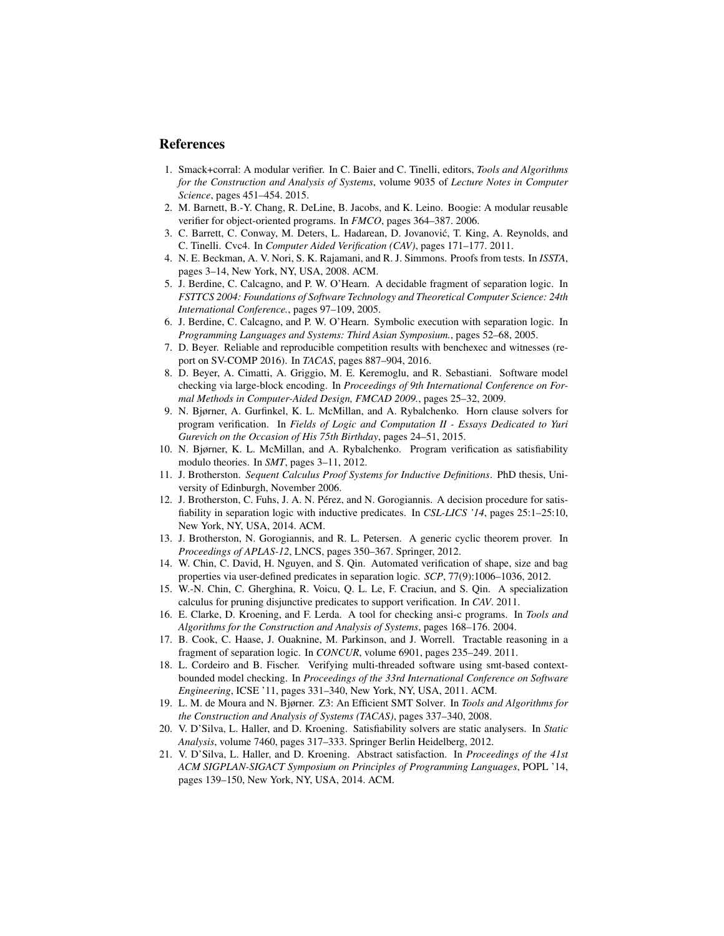### <span id="page-18-17"></span>References

- 1. Smack+corral: A modular verifier. In C. Baier and C. Tinelli, editors, *Tools and Algorithms for the Construction and Analysis of Systems*, volume 9035 of *Lecture Notes in Computer Science*, pages 451–454. 2015.
- <span id="page-18-3"></span>2. M. Barnett, B.-Y. Chang, R. DeLine, B. Jacobs, and K. Leino. Boogie: A modular reusable verifier for object-oriented programs. In *FMCO*, pages 364–387. 2006.
- <span id="page-18-0"></span>3. C. Barrett, C. Conway, M. Deters, L. Hadarean, D. Jovanovic, T. King, A. Reynolds, and ´ C. Tinelli. Cvc4. In *Computer Aided Verification (CAV)*, pages 171–177. 2011.
- <span id="page-18-2"></span>4. N. E. Beckman, A. V. Nori, S. K. Rajamani, and R. J. Simmons. Proofs from tests. In *ISSTA*, pages 3–14, New York, NY, USA, 2008. ACM.
- <span id="page-18-18"></span>5. J. Berdine, C. Calcagno, and P. W. O'Hearn. A decidable fragment of separation logic. In *FSTTCS 2004: Foundations of Software Technology and Theoretical Computer Science: 24th International Conference.*, pages 97–109, 2005.
- <span id="page-18-10"></span>6. J. Berdine, C. Calcagno, and P. W. O'Hearn. Symbolic execution with separation logic. In *Programming Languages and Systems: Third Asian Symposium.*, pages 52–68, 2005.
- <span id="page-18-14"></span>7. D. Beyer. Reliable and reproducible competition results with benchexec and witnesses (report on SV-COMP 2016). In *TACAS*, pages 887–904, 2016.
- <span id="page-18-11"></span>8. D. Beyer, A. Cimatti, A. Griggio, M. E. Keremoglu, and R. Sebastiani. Software model checking via large-block encoding. In *Proceedings of 9th International Conference on Formal Methods in Computer-Aided Design, FMCAD 2009.*, pages 25–32, 2009.
- <span id="page-18-5"></span>9. N. Bjørner, A. Gurfinkel, K. L. McMillan, and A. Rybalchenko. Horn clause solvers for program verification. In *Fields of Logic and Computation II - Essays Dedicated to Yuri Gurevich on the Occasion of His 75th Birthday*, pages 24–51, 2015.
- <span id="page-18-4"></span>10. N. Bjørner, K. L. McMillan, and A. Rybalchenko. Program verification as satisfiability modulo theories. In *SMT*, pages 3–11, 2012.
- <span id="page-18-13"></span>11. J. Brotherston. *Sequent Calculus Proof Systems for Inductive Definitions*. PhD thesis, University of Edinburgh, November 2006.
- <span id="page-18-8"></span>12. J. Brotherston, C. Fuhs, J. A. N. Pérez, and N. Gorogiannis. A decision procedure for satisfiability in separation logic with inductive predicates. In *CSL-LICS '14*, pages 25:1–25:10, New York, NY, USA, 2014. ACM.
- <span id="page-18-9"></span>13. J. Brotherston, N. Gorogiannis, and R. L. Petersen. A generic cyclic theorem prover. In *Proceedings of APLAS-12*, LNCS, pages 350–367. Springer, 2012.
- <span id="page-18-7"></span>14. W. Chin, C. David, H. Nguyen, and S. Qin. Automated verification of shape, size and bag properties via user-defined predicates in separation logic. *SCP*, 77(9):1006–1036, 2012.
- <span id="page-18-12"></span>15. W.-N. Chin, C. Gherghina, R. Voicu, Q. L. Le, F. Craciun, and S. Qin. A specialization calculus for pruning disjunctive predicates to support verification. In *CAV*. 2011.
- <span id="page-18-16"></span>16. E. Clarke, D. Kroening, and F. Lerda. A tool for checking ansi-c programs. In *Tools and Algorithms for the Construction and Analysis of Systems*, pages 168–176. 2004.
- <span id="page-18-6"></span>17. B. Cook, C. Haase, J. Ouaknine, M. Parkinson, and J. Worrell. Tractable reasoning in a fragment of separation logic. In *CONCUR*, volume 6901, pages 235–249. 2011.
- <span id="page-18-15"></span>18. L. Cordeiro and B. Fischer. Verifying multi-threaded software using smt-based contextbounded model checking. In *Proceedings of the 33rd International Conference on Software Engineering*, ICSE '11, pages 331–340, New York, NY, USA, 2011. ACM.
- <span id="page-18-1"></span>19. L. M. de Moura and N. Bjørner. Z3: An Efficient SMT Solver. In *Tools and Algorithms for the Construction and Analysis of Systems (TACAS)*, pages 337–340, 2008.
- <span id="page-18-19"></span>20. V. D'Silva, L. Haller, and D. Kroening. Satisfiability solvers are static analysers. In *Static Analysis*, volume 7460, pages 317–333. Springer Berlin Heidelberg, 2012.
- <span id="page-18-20"></span>21. V. D'Silva, L. Haller, and D. Kroening. Abstract satisfaction. In *Proceedings of the 41st ACM SIGPLAN-SIGACT Symposium on Principles of Programming Languages*, POPL '14, pages 139–150, New York, NY, USA, 2014. ACM.